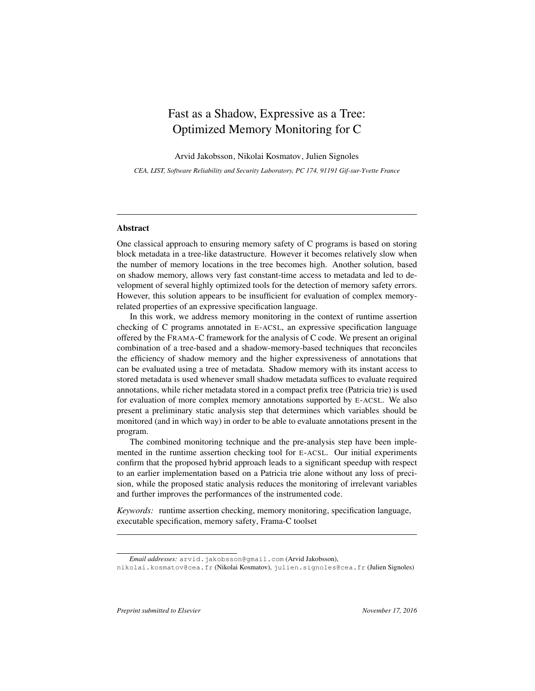# Fast as a Shadow, Expressive as a Tree: Optimized Memory Monitoring for C

Arvid Jakobsson, Nikolai Kosmatov, Julien Signoles

*CEA, LIST, Software Reliability and Security Laboratory, PC 174, 91191 Gif-sur-Yvette France*

## Abstract

One classical approach to ensuring memory safety of C programs is based on storing block metadata in a tree-like datastructure. However it becomes relatively slow when the number of memory locations in the tree becomes high. Another solution, based on shadow memory, allows very fast constant-time access to metadata and led to development of several highly optimized tools for the detection of memory safety errors. However, this solution appears to be insufficient for evaluation of complex memoryrelated properties of an expressive specification language.

In this work, we address memory monitoring in the context of runtime assertion checking of C programs annotated in E-ACSL, an expressive specification language offered by the FRAMA-C framework for the analysis of C code. We present an original combination of a tree-based and a shadow-memory-based techniques that reconciles the efficiency of shadow memory and the higher expressiveness of annotations that can be evaluated using a tree of metadata. Shadow memory with its instant access to stored metadata is used whenever small shadow metadata suffices to evaluate required annotations, while richer metadata stored in a compact prefix tree (Patricia trie) is used for evaluation of more complex memory annotations supported by E-ACSL. We also present a preliminary static analysis step that determines which variables should be monitored (and in which way) in order to be able to evaluate annotations present in the program.

The combined monitoring technique and the pre-analysis step have been implemented in the runtime assertion checking tool for E-ACSL. Our initial experiments confirm that the proposed hybrid approach leads to a significant speedup with respect to an earlier implementation based on a Patricia trie alone without any loss of precision, while the proposed static analysis reduces the monitoring of irrelevant variables and further improves the performances of the instrumented code.

*Keywords:* runtime assertion checking, memory monitoring, specification language, executable specification, memory safety, Frama-C toolset

*Preprint submitted to Elsevier* November 17, 2016

*Email addresses:* arvid.jakobsson@gmail.com (Arvid Jakobsson),

nikolai.kosmatov@cea.fr (Nikolai Kosmatov), julien.signoles@cea.fr (Julien Signoles)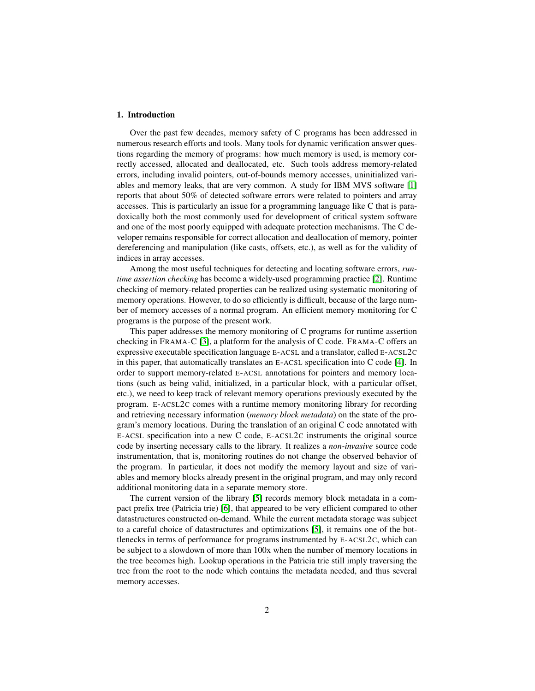## 1. Introduction

Over the past few decades, memory safety of C programs has been addressed in numerous research efforts and tools. Many tools for dynamic verification answer questions regarding the memory of programs: how much memory is used, is memory correctly accessed, allocated and deallocated, etc. Such tools address memory-related errors, including invalid pointers, out-of-bounds memory accesses, uninitialized variables and memory leaks, that are very common. A study for IBM MVS software [\[1\]](#page-30-0) reports that about 50% of detected software errors were related to pointers and array accesses. This is particularly an issue for a programming language like C that is paradoxically both the most commonly used for development of critical system software and one of the most poorly equipped with adequate protection mechanisms. The C developer remains responsible for correct allocation and deallocation of memory, pointer dereferencing and manipulation (like casts, offsets, etc.), as well as for the validity of indices in array accesses.

Among the most useful techniques for detecting and locating software errors, *runtime assertion checking* has become a widely-used programming practice [\[2\]](#page-30-1). Runtime checking of memory-related properties can be realized using systematic monitoring of memory operations. However, to do so efficiently is difficult, because of the large number of memory accesses of a normal program. An efficient memory monitoring for C programs is the purpose of the present work.

This paper addresses the memory monitoring of C programs for runtime assertion checking in FRAMA-C [\[3\]](#page-30-2), a platform for the analysis of C code. FRAMA-C offers an expressive executable specification language E-ACSL and a translator, called E-ACSL2C in this paper, that automatically translates an E-ACSL specification into C code [\[4\]](#page-30-3). In order to support memory-related E-ACSL annotations for pointers and memory locations (such as being valid, initialized, in a particular block, with a particular offset, etc.), we need to keep track of relevant memory operations previously executed by the program. E-ACSL2C comes with a runtime memory monitoring library for recording and retrieving necessary information (*memory block metadata*) on the state of the program's memory locations. During the translation of an original C code annotated with E-ACSL specification into a new C code, E-ACSL2C instruments the original source code by inserting necessary calls to the library. It realizes a *non-invasive* source code instrumentation, that is, monitoring routines do not change the observed behavior of the program. In particular, it does not modify the memory layout and size of variables and memory blocks already present in the original program, and may only record additional monitoring data in a separate memory store.

The current version of the library [\[5\]](#page-31-0) records memory block metadata in a compact prefix tree (Patricia trie) [\[6\]](#page-31-1), that appeared to be very efficient compared to other datastructures constructed on-demand. While the current metadata storage was subject to a careful choice of datastructures and optimizations [\[5\]](#page-31-0), it remains one of the bottlenecks in terms of performance for programs instrumented by E-ACSL2C, which can be subject to a slowdown of more than 100x when the number of memory locations in the tree becomes high. Lookup operations in the Patricia trie still imply traversing the tree from the root to the node which contains the metadata needed, and thus several memory accesses.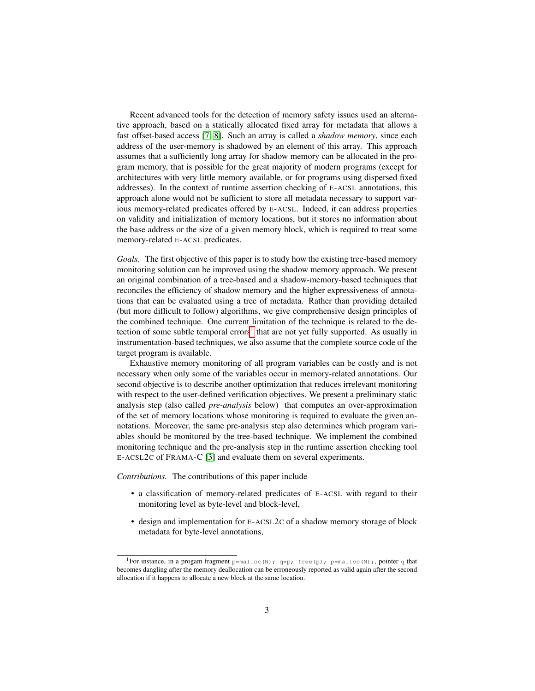Recent advanced tools for the detection of memory safety issues used an alternative approach, based on a statically allocated fixed array for metadata that allows a fast offset-based access [\[7,](#page-31-2) [8\]](#page-31-3). Such an array is called a *shadow memory*, since each address of the user-memory is shadowed by an element of this array. This approach assumes that a sufficiently long array for shadow memory can be allocated in the program memory, that is possible for the great majority of modern programs (except for architectures with very little memory available, or for programs using dispersed fixed addresses). In the context of runtime assertion checking of E-ACSL annotations, this approach alone would not be sufficient to store all metadata necessary to support various memory-related predicates offered by E-ACSL. Indeed, it can address properties on validity and initialization of memory locations, but it stores no information about the base address or the size of a given memory block, which is required to treat some memory-related E-ACSL predicates.

*Goals.* The first objective of this paper is to study how the existing tree-based memory monitoring solution can be improved using the shadow memory approach. We present an original combination of a tree-based and a shadow-memory-based techniques that reconciles the efficiency of shadow memory and the higher expressiveness of annotations that can be evaluated using a tree of metadata. Rather than providing detailed (but more difficult to follow) algorithms, we give comprehensive design principles of the combined technique. One current limitation of the technique is related to the de-tection of some subtle temporal errors<sup>[1](#page-2-0)</sup> that are not yet fully supported. As usually in instrumentation-based techniques, we also assume that the complete source code of the target program is available.

Exhaustive memory monitoring of all program variables can be costly and is not necessary when only some of the variables occur in memory-related annotations. Our second objective is to describe another optimization that reduces irrelevant monitoring with respect to the user-defined verification objectives. We present a preliminary static analysis step (also called *pre-analysis* below) that computes an over-approximation of the set of memory locations whose monitoring is required to evaluate the given annotations. Moreover, the same pre-analysis step also determines which program variables should be monitored by the tree-based technique. We implement the combined monitoring technique and the pre-analysis step in the runtime assertion checking tool E-ACSL2C of FRAMA-C [\[3\]](#page-30-2) and evaluate them on several experiments.

*Contributions.* The contributions of this paper include

- a classification of memory-related predicates of E-ACSL with regard to their monitoring level as byte-level and block-level,
- design and implementation for E-ACSL2C of a shadow memory storage of block metadata for byte-level annotations,

<span id="page-2-0"></span><sup>&</sup>lt;sup>1</sup>For instance, in a progam fragment p=malloc(N); q=p; free(p); p=malloc(N);, pointer q that becomes dangling after the memory deallocation can be erroneously reported as valid again after the second allocation if it happens to allocate a new block at the same location.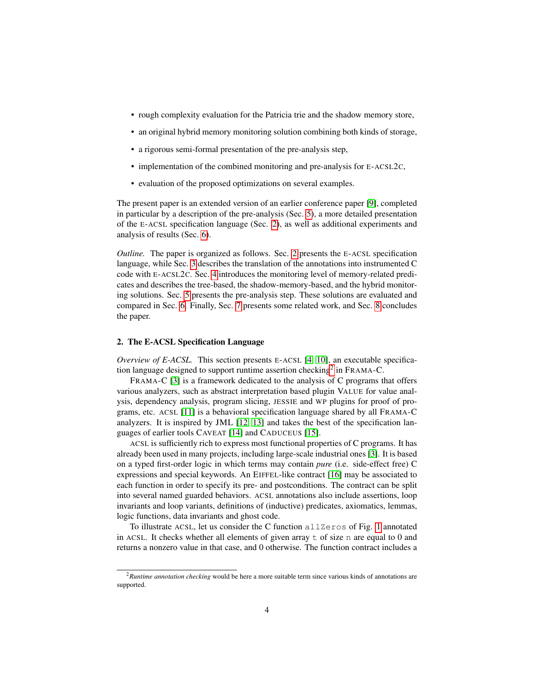- rough complexity evaluation for the Patricia trie and the shadow memory store,
- an original hybrid memory monitoring solution combining both kinds of storage,
- a rigorous semi-formal presentation of the pre-analysis step,
- implementation of the combined monitoring and pre-analysis for E-ACSL2C,
- evaluation of the proposed optimizations on several examples.

The present paper is an extended version of an earlier conference paper [\[9\]](#page-31-4), completed in particular by a description of the pre-analysis (Sec. [5\)](#page-13-0), a more detailed presentation of the E-ACSL specification language (Sec. [2\)](#page-3-0), as well as additional experiments and analysis of results (Sec. [6\)](#page-22-0).

*Outline.* The paper is organized as follows. Sec. [2](#page-3-0) presents the E-ACSL specification language, while Sec. [3](#page-6-0) describes the translation of the annotations into instrumented C code with E-ACSL2C. Sec. [4](#page-7-0) introduces the monitoring level of memory-related predicates and describes the tree-based, the shadow-memory-based, and the hybrid monitoring solutions. Sec. [5](#page-13-0) presents the pre-analysis step. These solutions are evaluated and compared in Sec. [6.](#page-22-0) Finally, Sec. [7](#page-28-0) presents some related work, and Sec. [8](#page-29-0) concludes the paper.

# <span id="page-3-0"></span>2. The E-ACSL Specification Language

*Overview of E-ACSL.* This section presents E-ACSL [\[4,](#page-30-3) [10\]](#page-31-5), an executable specifica-tion language designed to support runtime assertion checking<sup>[2](#page-3-1)</sup> in FRAMA-C.

FRAMA-C [\[3\]](#page-30-2) is a framework dedicated to the analysis of C programs that offers various analyzers, such as abstract interpretation based plugin VALUE for value analysis, dependency analysis, program slicing, JESSIE and WP plugins for proof of programs, etc. ACSL [\[11\]](#page-31-6) is a behavioral specification language shared by all FRAMA-C analyzers. It is inspired by JML [\[12,](#page-31-7) [13\]](#page-31-8) and takes the best of the specification languages of earlier tools CAVEAT [\[14\]](#page-31-9) and CADUCEUS [\[15\]](#page-31-10).

ACSL is sufficiently rich to express most functional properties of C programs. It has already been used in many projects, including large-scale industrial ones [\[3\]](#page-30-2). It is based on a typed first-order logic in which terms may contain *pure* (i.e. side-effect free) C expressions and special keywords. An EIFFEL-like contract [\[16\]](#page-31-11) may be associated to each function in order to specify its pre- and postconditions. The contract can be split into several named guarded behaviors. ACSL annotations also include assertions, loop invariants and loop variants, definitions of (inductive) predicates, axiomatics, lemmas, logic functions, data invariants and ghost code.

To illustrate ACSL, let us consider the C function allZeros of Fig. [1](#page-4-0) annotated in ACSL. It checks whether all elements of given array t of size n are equal to 0 and returns a nonzero value in that case, and 0 otherwise. The function contract includes a

<span id="page-3-1"></span><sup>2</sup>*Runtime annotation checking* would be here a more suitable term since various kinds of annotations are supported.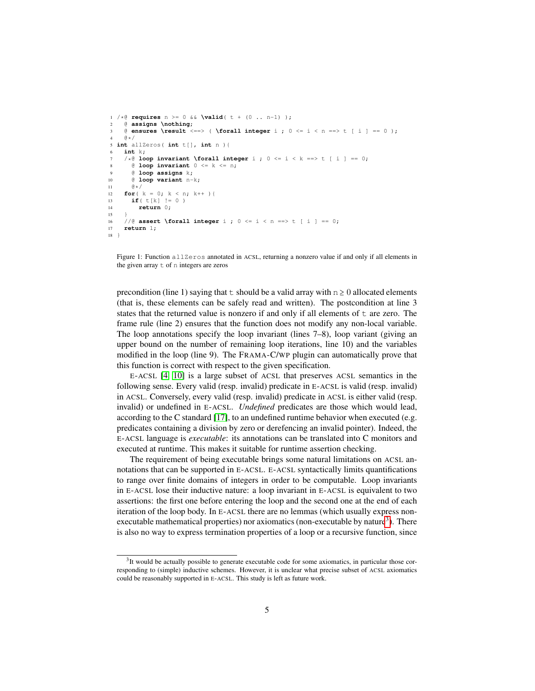```
1 / * @ requires n > = 0 & & \text{valid}( t + (0 ... n-1) );<br>
2 / @ assigns \nothing2 @ assigns \nothing;
 3 @ ensures \result <==> ( \forall integer i ; 0 <= i < n ==> t [ i ] == 0 );
 4 @*<br>5 int
  5 int allZeros( int t[], int n ){
     6 int k;
     /*@ loop invariant \forall integer i ; 0 <= i < k ==> t [ i ] == 0;
        8 @ loop invariant 0 <= k <= n;
        9 @ loop assigns k;
10 \theta loop variant n-k;<br>11 \theta \star /11 (\frac{\theta *}{2})12 for(k = 0; k < n; k++){<br>13 if(t[k] != 0)
       if(t[k] != 0)
14 return 0;
15 }
16 //@ assert \forall integer i ; 0 <= i < n ==> t [ i ] == 0;
17 return 1;
18 }
```
<span id="page-4-0"></span>Figure 1: Function allZeros annotated in ACSL, returning a nonzero value if and only if all elements in the given array  $\pm$  of n integers are zeros

precondition (line 1) saying that t should be a valid array with  $n \ge 0$  allocated elements (that is, these elements can be safely read and written). The postcondition at line 3 states that the returned value is nonzero if and only if all elements of  $t$  are zero. The frame rule (line 2) ensures that the function does not modify any non-local variable. The loop annotations specify the loop invariant (lines 7–8), loop variant (giving an upper bound on the number of remaining loop iterations, line 10) and the variables modified in the loop (line 9). The FRAMA-C/WP plugin can automatically prove that this function is correct with respect to the given specification.

E-ACSL [\[4,](#page-30-3) [10\]](#page-31-5) is a large subset of ACSL that preserves ACSL semantics in the following sense. Every valid (resp. invalid) predicate in E-ACSL is valid (resp. invalid) in ACSL. Conversely, every valid (resp. invalid) predicate in ACSL is either valid (resp. invalid) or undefined in E-ACSL. *Undefined* predicates are those which would lead, according to the C standard [\[17\]](#page-31-12), to an undefined runtime behavior when executed (e.g. predicates containing a division by zero or derefencing an invalid pointer). Indeed, the E-ACSL language is *executable*: its annotations can be translated into C monitors and executed at runtime. This makes it suitable for runtime assertion checking.

The requirement of being executable brings some natural limitations on ACSL annotations that can be supported in E-ACSL. E-ACSL syntactically limits quantifications to range over finite domains of integers in order to be computable. Loop invariants in E-ACSL lose their inductive nature: a loop invariant in E-ACSL is equivalent to two assertions: the first one before entering the loop and the second one at the end of each iteration of the loop body. In E-ACSL there are no lemmas (which usually express non-executable mathematical properties) nor axiomatics (non-executable by nature<sup>[3](#page-4-1)</sup>). There is also no way to express termination properties of a loop or a recursive function, since

<span id="page-4-1"></span> $3$ It would be actually possible to generate executable code for some axiomatics, in particular those corresponding to (simple) inductive schemes. However, it is unclear what precise subset of ACSL axiomatics could be reasonably supported in E-ACSL. This study is left as future work.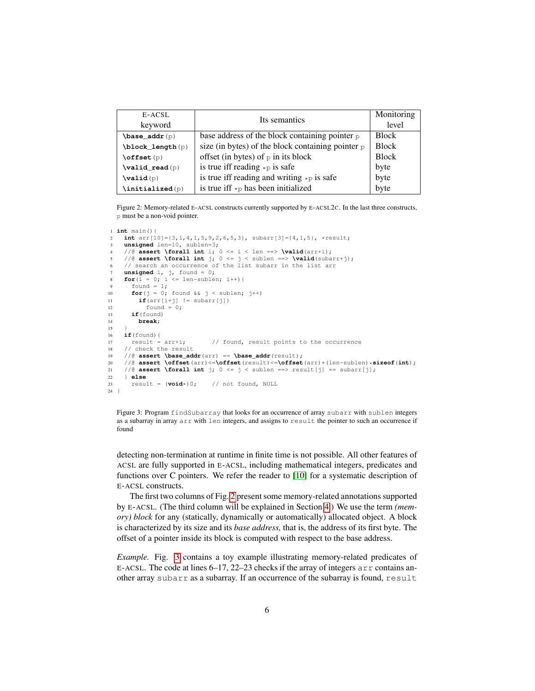| $E-ACSL$                           | Its semantics                                           | Monitoring   |
|------------------------------------|---------------------------------------------------------|--------------|
| keyword                            |                                                         | level        |
| \base_addr(p)                      | base address of the block containing pointer $\beta$    | <b>Block</b> |
| $\boldsymbol{\lambda}(\mathbf{p})$ | size (in bytes) of the block containing pointer $\beta$ | <b>Block</b> |
| <b>\offset</b> (p)                 | offset (in bytes) of $p$ in its block                   | <b>Block</b> |
| $\text{valid read}(p)$             | is true iff reading $_{\star p}$ is safe                | byte         |
| $\text{valid}(p)$                  | is true iff reading and writing $_{\star p}$ is safe    | byte         |
| \initialized(p)                    | is true iff $_{\star}$ has been initialized             | byte         |

<span id="page-5-0"></span>Figure 2: Memory-related E-ACSL constructs currently supported by E-ACSL2C. In the last three constructs, p must be a non-void pointer.

```
1 int main(){
```

```
2 int arr[10]={3,1,4,1,5,9,2,6,5,3}, subarr[3]={4,1,5}, *result;
     unsigned len=10, sublen=3;
     1//@ assert \forall int i; 0 \le i \le len == \valid(arr+i);
5 //\theta assert \forall int j; 0 \leq j \leq sublen ==> \valid(subarr+j);
     // search an occurrence of the list subarr in the list arr
 7 unsigned i, j, found = 0;
8 for(i = 0; i <= len-sublen; i++){
9 found = 1;
10 for(\dot{1} = 0; found \&\&\dot{1} < \text{sublen};\dot{1}^{++}\dot{1})
11 if(arr[i+j] != subarr[j])
12 found = 0;
13 if(found)
14 break;
15 }
16 if(found){
17 result = arr+i; // found, result points to the occurrence
18 // check the result
19 //@ assert \base_addr(arr) == \base_addr(result);
20 //@ assert \offset(arr)<=\offset(result)<=\offset(arr)+(len-sublen)*sizeof(int);<br>21 //@ assert \forall int i: 0 \le i \le \text{sublen} == \text{result[i]} == \text{subarr[i]};
    1/2 assert \forall int j; 0 \le j \le \text{sublen} == \text{result}[j] == \text{subarr}[j];22 } else
23 result = (void*)0; // not found, NULL
24 }
```
<span id="page-5-1"></span>Figure 3: Program findSubarray that looks for an occurrence of array subarr with sublen integers as a subarray in array arr with len integers, and assigns to result the pointer to such an occurrence if found

detecting non-termination at runtime in finite time is not possible. All other features of ACSL are fully supported in E-ACSL, including mathematical integers, predicates and functions over C pointers. We refer the reader to [\[10\]](#page-31-5) for a systematic description of E-ACSL constructs.

The first two columns of Fig. [2](#page-5-0) present some memory-related annotations supported by E-ACSL. (The third column will be explained in Section [4.](#page-7-0)) We use the term *(memory) block* for any (statically, dynamically or automatically) allocated object. A block is characterized by its size and its *base address,* that is, the address of its first byte. The offset of a pointer inside its block is computed with respect to the base address.

*Example.* Fig. [3](#page-5-1) contains a toy example illustrating memory-related predicates of E-ACSL. The code at lines  $6-17$ ,  $22-23$  checks if the array of integers  $a \rceil r$  contains another array subarr as a subarray. If an occurrence of the subarray is found, result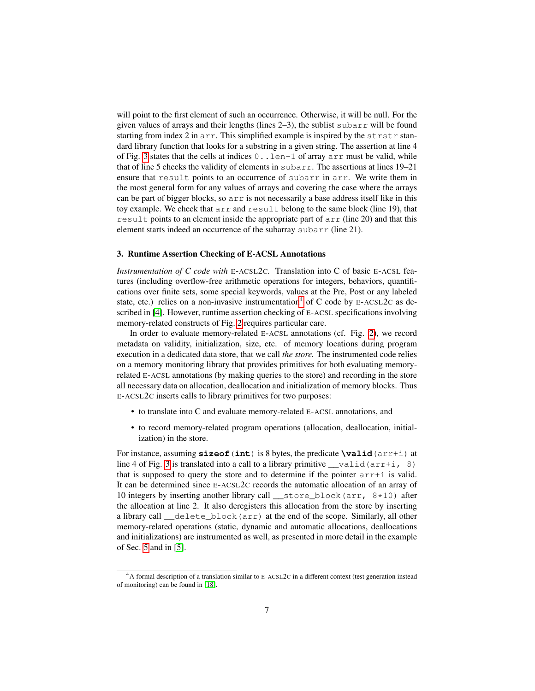will point to the first element of such an occurrence. Otherwise, it will be null. For the given values of arrays and their lengths (lines 2–3), the sublist subarr will be found starting from index 2 in arr. This simplified example is inspired by the strstr standard library function that looks for a substring in a given string. The assertion at line 4 of Fig. [3](#page-5-1) states that the cells at indices  $0$ . len-1 of array arr must be valid, while that of line 5 checks the validity of elements in subarr. The assertions at lines 19–21 ensure that result points to an occurrence of subarr in arr. We write them in the most general form for any values of arrays and covering the case where the arrays can be part of bigger blocks, so arr is not necessarily a base address itself like in this toy example. We check that arr and result belong to the same block (line 19), that result points to an element inside the appropriate part of  $\Delta \text{rr}$  (line 20) and that this element starts indeed an occurrence of the subarray subarr (line 21).

### <span id="page-6-0"></span>3. Runtime Assertion Checking of E-ACSL Annotations

*Instrumentation of C code with* E-ACSL2C*.* Translation into C of basic E-ACSL features (including overflow-free arithmetic operations for integers, behaviors, quantifications over finite sets, some special keywords, values at the Pre, Post or any labeled state, etc.) relies on a non-invasive instrumentation<sup>[4](#page-6-1)</sup> of C code by E-ACSL2C as described in [\[4\]](#page-30-3). However, runtime assertion checking of E-ACSL specifications involving memory-related constructs of Fig. [2](#page-5-0) requires particular care.

In order to evaluate memory-related E-ACSL annotations (cf. Fig. [2\)](#page-5-0), we record metadata on validity, initialization, size, etc. of memory locations during program execution in a dedicated data store, that we call *the store.* The instrumented code relies on a memory monitoring library that provides primitives for both evaluating memoryrelated E-ACSL annotations (by making queries to the store) and recording in the store all necessary data on allocation, deallocation and initialization of memory blocks. Thus E-ACSL2C inserts calls to library primitives for two purposes:

- to translate into C and evaluate memory-related E-ACSL annotations, and
- to record memory-related program operations (allocation, deallocation, initialization) in the store.

For instance, assuming **sizeof**(**int**) is 8 bytes, the predicate **\valid**(arr+i) at line 4 of Fig. [3](#page-5-1) is translated into a call to a library primitive  $\_\text{valid}(\text{arr}+\text{i}, 8)$ that is supposed to query the store and to determine if the pointer  $arr+i$  is valid. It can be determined since E-ACSL2C records the automatic allocation of an array of 10 integers by inserting another library call store block (arr,  $8*10$ ) after the allocation at line 2. It also deregisters this allocation from the store by inserting a library call \_\_delete\_block(arr) at the end of the scope. Similarly, all other memory-related operations (static, dynamic and automatic allocations, deallocations and initializations) are instrumented as well, as presented in more detail in the example of Sec. [5](#page-13-0) and in [\[5\]](#page-31-0).

<span id="page-6-1"></span> $4A$  formal description of a translation similar to E-ACSL2C in a different context (test generation instead of monitoring) can be found in [\[18\]](#page-31-13).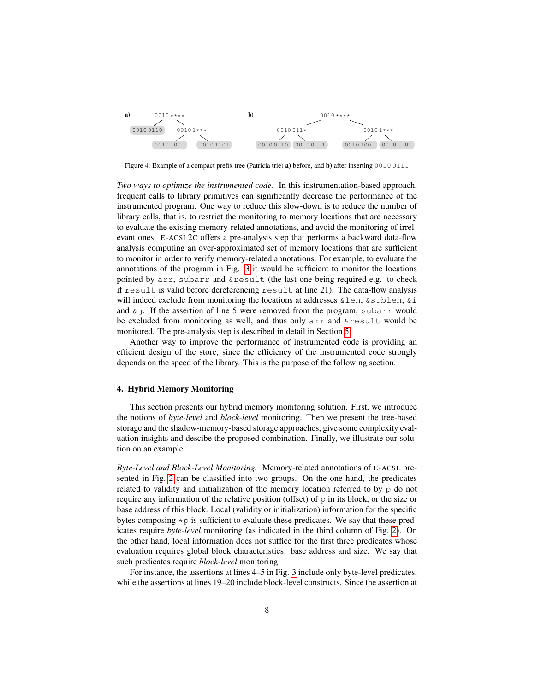

<span id="page-7-1"></span>Figure 4: Example of a compact prefix tree (Patricia trie) a) before, and **b**) after inserting 0010 0111

*Two ways to optimize the instrumented code.* In this instrumentation-based approach, frequent calls to library primitives can significantly decrease the performance of the instrumented program. One way to reduce this slow-down is to reduce the number of library calls, that is, to restrict the monitoring to memory locations that are necessary to evaluate the existing memory-related annotations, and avoid the monitoring of irrelevant ones. E-ACSL2C offers a pre-analysis step that performs a backward data-flow analysis computing an over-approximated set of memory locations that are sufficient to monitor in order to verify memory-related annotations. For example, to evaluate the annotations of the program in Fig. [3](#page-5-1) it would be sufficient to monitor the locations pointed by arr, subarr and &result (the last one being required e.g. to check if result is valid before dereferencing result at line 21). The data-flow analysis will indeed exclude from monitoring the locations at addresses  $\&$  len,  $\&$  sublen,  $\&$  i and  $\&i$ . If the assertion of line 5 were removed from the program, subarr would be excluded from monitoring as well, and thus only arr and &result would be monitored. The pre-analysis step is described in detail in Section [5.](#page-13-0)

Another way to improve the performance of instrumented code is providing an efficient design of the store, since the efficiency of the instrumented code strongly depends on the speed of the library. This is the purpose of the following section.

## <span id="page-7-0"></span>4. Hybrid Memory Monitoring

This section presents our hybrid memory monitoring solution. First, we introduce the notions of *byte-level* and *block-level* monitoring. Then we present the tree-based storage and the shadow-memory-based storage approaches, give some complexity evaluation insights and descibe the proposed combination. Finally, we illustrate our solution on an example.

*Byte-Level and Block-Level Monitoring.* Memory-related annotations of E-ACSL presented in Fig. [2](#page-5-0) can be classified into two groups. On the one hand, the predicates related to validity and initialization of the memory location referred to by p do not require any information of the relative position (offset) of  $p$  in its block, or the size or base address of this block. Local (validity or initialization) information for the specific bytes composing  $\star p$  is sufficient to evaluate these predicates. We say that these predicates require *byte-level* monitoring (as indicated in the third column of Fig. [2\)](#page-5-0). On the other hand, local information does not suffice for the first three predicates whose evaluation requires global block characteristics: base address and size. We say that such predicates require *block-level* monitoring.

For instance, the assertions at lines 4–5 in Fig. [3](#page-5-1) include only byte-level predicates, while the assertions at lines 19–20 include block-level constructs. Since the assertion at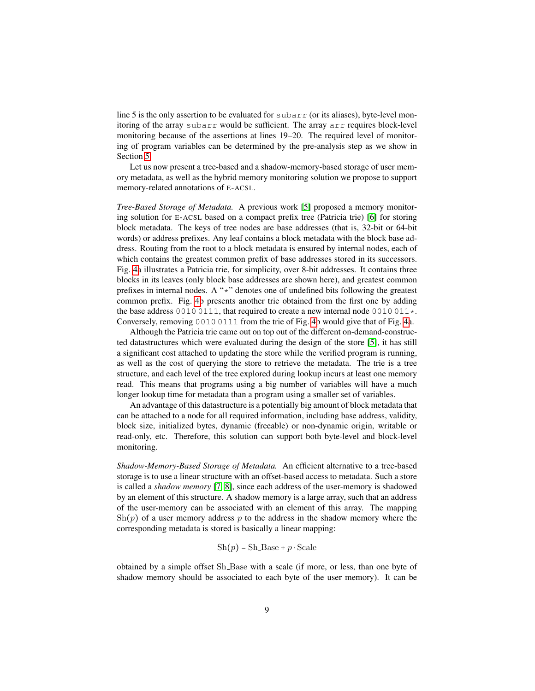line 5 is the only assertion to be evaluated for subarr (or its aliases), byte-level monitoring of the array subarr would be sufficient. The array arr requires block-level monitoring because of the assertions at lines 19–20. The required level of monitoring of program variables can be determined by the pre-analysis step as we show in Section [5.](#page-13-0)

Let us now present a tree-based and a shadow-memory-based storage of user memory metadata, as well as the hybrid memory monitoring solution we propose to support memory-related annotations of E-ACSL.

*Tree-Based Storage of Metadata.* A previous work [\[5\]](#page-31-0) proposed a memory monitoring solution for E-ACSL based on a compact prefix tree (Patricia trie) [\[6\]](#page-31-1) for storing block metadata. The keys of tree nodes are base addresses (that is, 32-bit or 64-bit words) or address prefixes. Any leaf contains a block metadata with the block base address. Routing from the root to a block metadata is ensured by internal nodes, each of which contains the greatest common prefix of base addresses stored in its successors. Fig. [4a](#page-7-1) illustrates a Patricia trie, for simplicity, over 8-bit addresses. It contains three blocks in its leaves (only block base addresses are shown here), and greatest common prefixes in internal nodes. A " $\star$ " denotes one of undefined bits following the greatest common prefix. Fig. [4b](#page-7-1) presents another trie obtained from the first one by adding the base address 0010 0111, that required to create a new internal node 0010 011 $\star$ . Conversely, removing 0010 0111 from the trie of Fig. [4b](#page-7-1) would give that of Fig. [4a](#page-7-1).

Although the Patricia trie came out on top out of the different on-demand-constructed datastructures which were evaluated during the design of the store [\[5\]](#page-31-0), it has still a significant cost attached to updating the store while the verified program is running, as well as the cost of querying the store to retrieve the metadata. The trie is a tree structure, and each level of the tree explored during lookup incurs at least one memory read. This means that programs using a big number of variables will have a much longer lookup time for metadata than a program using a smaller set of variables.

An advantage of this datastructure is a potentially big amount of block metadata that can be attached to a node for all required information, including base address, validity, block size, initialized bytes, dynamic (freeable) or non-dynamic origin, writable or read-only, etc. Therefore, this solution can support both byte-level and block-level monitoring.

*Shadow-Memory-Based Storage of Metadata.* An efficient alternative to a tree-based storage is to use a linear structure with an offset-based access to metadata. Such a store is called a *shadow memory* [\[7,](#page-31-2) [8\]](#page-31-3), since each address of the user-memory is shadowed by an element of this structure. A shadow memory is a large array, such that an address of the user-memory can be associated with an element of this array. The mapping  $\mathrm{Sh}(p)$  of a user memory address p to the address in the shadow memory where the corresponding metadata is stored is basically a linear mapping:

$$
Sh(p) = Sh\_Base + p \cdot Scale
$$

obtained by a simple offset Sh Base with a scale (if more, or less, than one byte of shadow memory should be associated to each byte of the user memory). It can be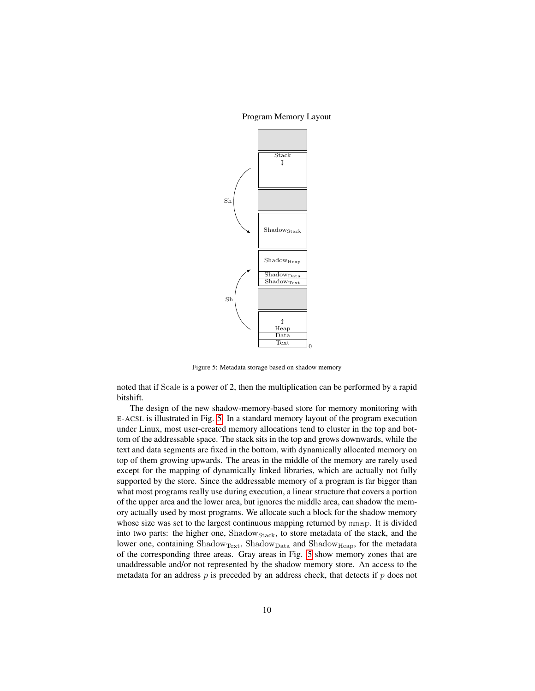Program Memory Layout



<span id="page-9-0"></span>Figure 5: Metadata storage based on shadow memory

noted that if Scale is a power of 2, then the multiplication can be performed by a rapid bitshift.

The design of the new shadow-memory-based store for memory monitoring with E-ACSL is illustrated in Fig. [5.](#page-9-0) In a standard memory layout of the program execution under Linux, most user-created memory allocations tend to cluster in the top and bottom of the addressable space. The stack sits in the top and grows downwards, while the text and data segments are fixed in the bottom, with dynamically allocated memory on top of them growing upwards. The areas in the middle of the memory are rarely used except for the mapping of dynamically linked libraries, which are actually not fully supported by the store. Since the addressable memory of a program is far bigger than what most programs really use during execution, a linear structure that covers a portion of the upper area and the lower area, but ignores the middle area, can shadow the memory actually used by most programs. We allocate such a block for the shadow memory whose size was set to the largest continuous mapping returned by mmap. It is divided into two parts: the higher one, Shadow<sub>Stack</sub>, to store metadata of the stack, and the lower one, containing  $\text{Shadow}_{\text{Text}}$ ,  $\text{Shadow}_{\text{Data}}$  and  $\text{Shadow}_{\text{Heap}}$ , for the metadata of the corresponding three areas. Gray areas in Fig. [5](#page-9-0) show memory zones that are unaddressable and/or not represented by the shadow memory store. An access to the metadata for an address  $p$  is preceded by an address check, that detects if  $p$  does not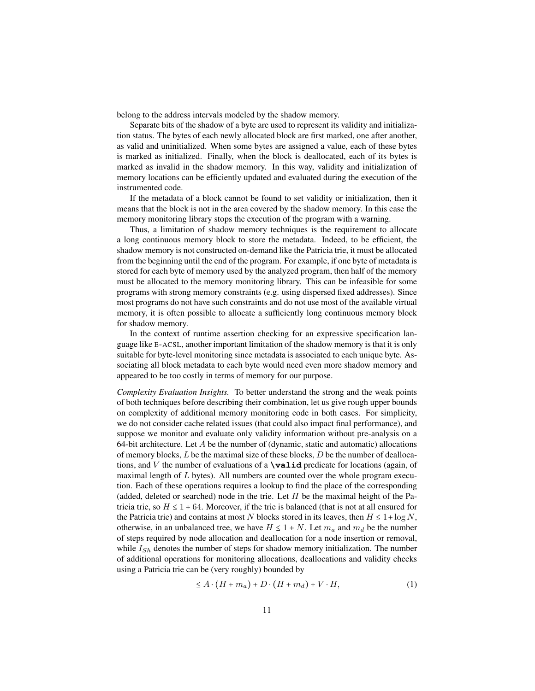belong to the address intervals modeled by the shadow memory.

Separate bits of the shadow of a byte are used to represent its validity and initialization status. The bytes of each newly allocated block are first marked, one after another, as valid and uninitialized. When some bytes are assigned a value, each of these bytes is marked as initialized. Finally, when the block is deallocated, each of its bytes is marked as invalid in the shadow memory. In this way, validity and initialization of memory locations can be efficiently updated and evaluated during the execution of the instrumented code.

If the metadata of a block cannot be found to set validity or initialization, then it means that the block is not in the area covered by the shadow memory. In this case the memory monitoring library stops the execution of the program with a warning.

Thus, a limitation of shadow memory techniques is the requirement to allocate a long continuous memory block to store the metadata. Indeed, to be efficient, the shadow memory is not constructed on-demand like the Patricia trie, it must be allocated from the beginning until the end of the program. For example, if one byte of metadata is stored for each byte of memory used by the analyzed program, then half of the memory must be allocated to the memory monitoring library. This can be infeasible for some programs with strong memory constraints (e.g. using dispersed fixed addresses). Since most programs do not have such constraints and do not use most of the available virtual memory, it is often possible to allocate a sufficiently long continuous memory block for shadow memory.

In the context of runtime assertion checking for an expressive specification language like E-ACSL, another important limitation of the shadow memory is that it is only suitable for byte-level monitoring since metadata is associated to each unique byte. Associating all block metadata to each byte would need even more shadow memory and appeared to be too costly in terms of memory for our purpose.

*Complexity Evaluation Insights.* To better understand the strong and the weak points of both techniques before describing their combination, let us give rough upper bounds on complexity of additional memory monitoring code in both cases. For simplicity, we do not consider cache related issues (that could also impact final performance), and suppose we monitor and evaluate only validity information without pre-analysis on a 64-bit architecture. Let  $A$  be the number of (dynamic, static and automatic) allocations of memory blocks,  $L$  be the maximal size of these blocks,  $D$  be the number of deallocations, and V the number of evaluations of a **\valid** predicate for locations (again, of maximal length of L bytes). All numbers are counted over the whole program execution. Each of these operations requires a lookup to find the place of the corresponding (added, deleted or searched) node in the trie. Let  $H$  be the maximal height of the Patricia trie, so  $H \le 1 + 64$ . Moreover, if the trie is balanced (that is not at all ensured for the Patricia trie) and contains at most N blocks stored in its leaves, then  $H \leq 1 + \log N$ , otherwise, in an unbalanced tree, we have  $H \leq 1 + N$ . Let  $m_a$  and  $m_d$  be the number of steps required by node allocation and deallocation for a node insertion or removal, while  $I_{Sh}$  denotes the number of steps for shadow memory initialization. The number of additional operations for monitoring allocations, deallocations and validity checks using a Patricia trie can be (very roughly) bounded by

<span id="page-10-0"></span>
$$
\leq A \cdot (H + m_a) + D \cdot (H + m_d) + V \cdot H,\tag{1}
$$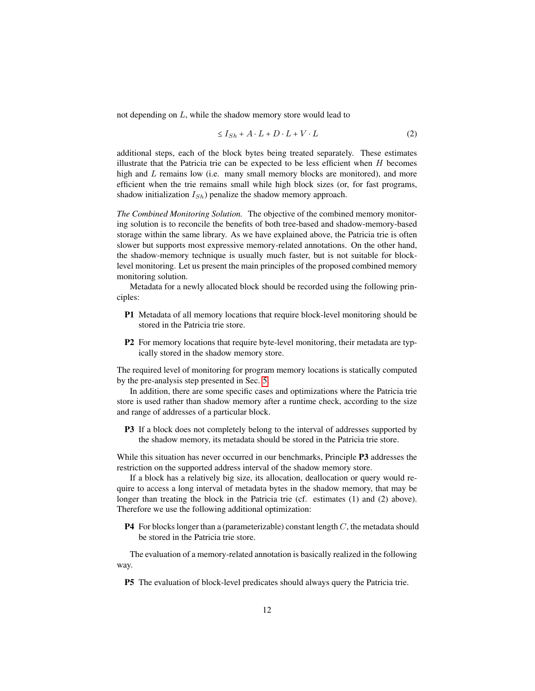not depending on L, while the shadow memory store would lead to

<span id="page-11-0"></span>
$$
\leq I_{Sh} + A \cdot L + D \cdot L + V \cdot L \tag{2}
$$

additional steps, each of the block bytes being treated separately. These estimates illustrate that the Patricia trie can be expected to be less efficient when  $H$  becomes high and L remains low (i.e. many small memory blocks are monitored), and more efficient when the trie remains small while high block sizes (or, for fast programs, shadow initialization  $I_{Sh}$ ) penalize the shadow memory approach.

*The Combined Monitoring Solution.* The objective of the combined memory monitoring solution is to reconcile the benefits of both tree-based and shadow-memory-based storage within the same library. As we have explained above, the Patricia trie is often slower but supports most expressive memory-related annotations. On the other hand, the shadow-memory technique is usually much faster, but is not suitable for blocklevel monitoring. Let us present the main principles of the proposed combined memory monitoring solution.

Metadata for a newly allocated block should be recorded using the following principles:

- P1 Metadata of all memory locations that require block-level monitoring should be stored in the Patricia trie store.
- P2 For memory locations that require byte-level monitoring, their metadata are typically stored in the shadow memory store.

The required level of monitoring for program memory locations is statically computed by the pre-analysis step presented in Sec. [5.](#page-13-0)

In addition, there are some specific cases and optimizations where the Patricia trie store is used rather than shadow memory after a runtime check, according to the size and range of addresses of a particular block.

P3 If a block does not completely belong to the interval of addresses supported by the shadow memory, its metadata should be stored in the Patricia trie store.

While this situation has never occurred in our benchmarks, Principle **P3** addresses the restriction on the supported address interval of the shadow memory store.

If a block has a relatively big size, its allocation, deallocation or query would require to access a long interval of metadata bytes in the shadow memory, that may be longer than treating the block in the Patricia trie (cf. estimates (1) and (2) above). Therefore we use the following additional optimization:

**P4** For blocks longer than a (parameterizable) constant length  $C$ , the metadata should be stored in the Patricia trie store.

The evaluation of a memory-related annotation is basically realized in the following way.

P5 The evaluation of block-level predicates should always query the Patricia trie.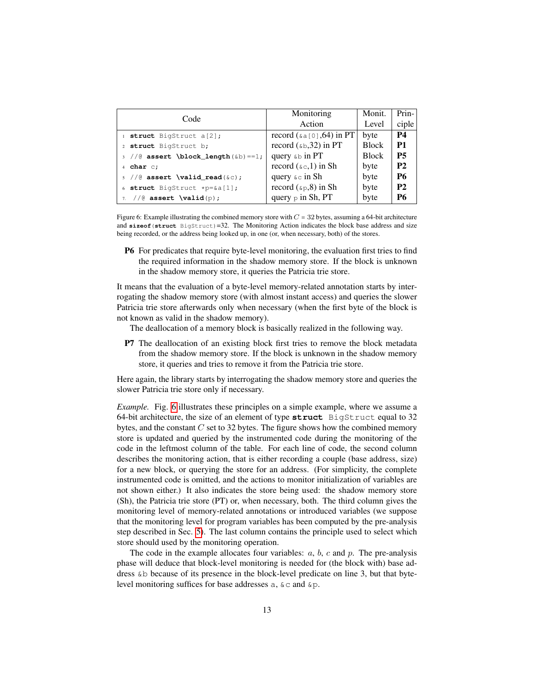|                                          | Monitoring                           | Monit.       | Prin-          |
|------------------------------------------|--------------------------------------|--------------|----------------|
| Code                                     |                                      |              |                |
|                                          | Action                               | Level        | ciple          |
| $\frac{1}{2}$ struct BigStruct a[2];     | record $(\alpha a [0], 64)$ in PT    | byte         | <b>P4</b>      |
| 2 struct BigStruct b;                    | record $(\epsilon_b, 32)$ in PT      | <b>Block</b> | <b>P1</b>      |
| $3$ // $@$ assert \block_length(&b) ==1; | query $\&b$ in PT                    | <b>Block</b> | <b>P5</b>      |
| $4$ char $c$ ;                           | record $(\infty,1)$ in Sh            | byte         | P <sub>2</sub> |
| $5$ // $@$ assert \valid_read(&c);       | query $\&\circ$ in Sh                | byte         | <b>P6</b>      |
| 6 struct BigStruct *p= $&a[1]$ ;         | record $(\epsilon_{\rm p}, 8)$ in Sh | byte         | <b>P2</b>      |
| 7. $//@$ assert \valid(p);               | query $p$ in Sh, PT                  | byte         | <b>P6</b>      |

<span id="page-12-0"></span>Figure 6: Example illustrating the combined memory store with  $C = 32$  bytes, assuming a 64-bit architecture and **sizeof**(**struct** BigStruct)=32. The Monitoring Action indicates the block base address and size being recorded, or the address being looked up, in one (or, when necessary, both) of the stores.

P6 For predicates that require byte-level monitoring, the evaluation first tries to find the required information in the shadow memory store. If the block is unknown in the shadow memory store, it queries the Patricia trie store.

It means that the evaluation of a byte-level memory-related annotation starts by interrogating the shadow memory store (with almost instant access) and queries the slower Patricia trie store afterwards only when necessary (when the first byte of the block is not known as valid in the shadow memory).

The deallocation of a memory block is basically realized in the following way.

P7 The deallocation of an existing block first tries to remove the block metadata from the shadow memory store. If the block is unknown in the shadow memory store, it queries and tries to remove it from the Patricia trie store.

Here again, the library starts by interrogating the shadow memory store and queries the slower Patricia trie store only if necessary.

*Example.* Fig. [6](#page-12-0) illustrates these principles on a simple example, where we assume a 64-bit architecture, the size of an element of type **struct** BigStruct equal to 32 bytes, and the constant  $C$  set to 32 bytes. The figure shows how the combined memory store is updated and queried by the instrumented code during the monitoring of the code in the leftmost column of the table. For each line of code, the second column describes the monitoring action, that is either recording a couple (base address, size) for a new block, or querying the store for an address. (For simplicity, the complete instrumented code is omitted, and the actions to monitor initialization of variables are not shown either.) It also indicates the store being used: the shadow memory store (Sh), the Patricia trie store (PT) or, when necessary, both. The third column gives the monitoring level of memory-related annotations or introduced variables (we suppose that the monitoring level for program variables has been computed by the pre-analysis step described in Sec. [5\)](#page-13-0). The last column contains the principle used to select which store should used by the monitoring operation.

The code in the example allocates four variables:  $a, b, c$  and  $p$ . The pre-analysis phase will deduce that block-level monitoring is needed for (the block with) base address  $\&b$  because of its presence in the block-level predicate on line 3, but that bytelevel monitoring suffices for base addresses a, &c and &p.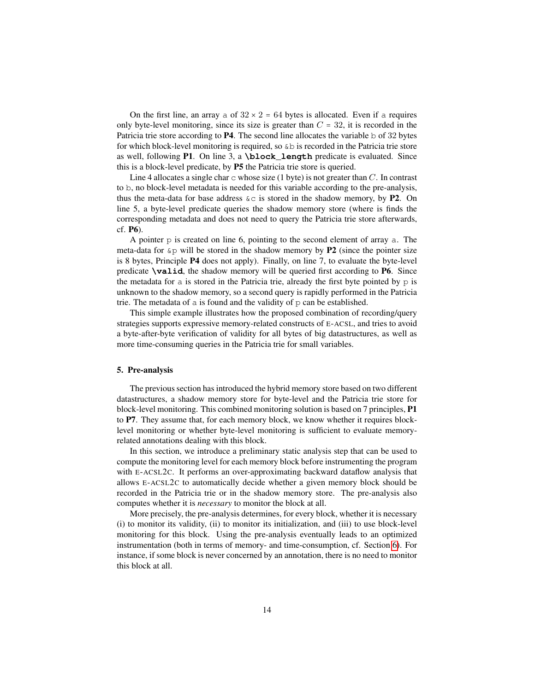On the first line, an array a of  $32 \times 2 = 64$  bytes is allocated. Even if a requires only byte-level monitoring, since its size is greater than  $C = 32$ , it is recorded in the Patricia trie store according to **P4**. The second line allocates the variable b of 32 bytes for which block-level monitoring is required, so  $\&b$  is recorded in the Patricia trie store as well, following P1. On line 3, a **\block\_length** predicate is evaluated. Since this is a block-level predicate, by P5 the Patricia trie store is queried.

Line 4 allocates a single char  $\subset$  whose size (1 byte) is not greater than  $C$ . In contrast to b, no block-level metadata is needed for this variable according to the pre-analysis, thus the meta-data for base address  $\&c$  is stored in the shadow memory, by **P2**. On line 5, a byte-level predicate queries the shadow memory store (where is finds the corresponding metadata and does not need to query the Patricia trie store afterwards, cf. P6).

A pointer p is created on line 6, pointing to the second element of array a. The meta-data for  $\epsilon_{\rm p}$  will be stored in the shadow memory by **P2** (since the pointer size is 8 bytes, Principle P4 does not apply). Finally, on line 7, to evaluate the byte-level predicate **\valid**, the shadow memory will be queried first according to P6. Since the metadata for a is stored in the Patricia trie, already the first byte pointed by p is unknown to the shadow memory, so a second query is rapidly performed in the Patricia trie. The metadata of a is found and the validity of p can be established.

This simple example illustrates how the proposed combination of recording/query strategies supports expressive memory-related constructs of E-ACSL, and tries to avoid a byte-after-byte verification of validity for all bytes of big datastructures, as well as more time-consuming queries in the Patricia trie for small variables.

#### <span id="page-13-0"></span>5. Pre-analysis

The previous section has introduced the hybrid memory store based on two different datastructures, a shadow memory store for byte-level and the Patricia trie store for block-level monitoring. This combined monitoring solution is based on 7 principles, P1 to P7. They assume that, for each memory block, we know whether it requires blocklevel monitoring or whether byte-level monitoring is sufficient to evaluate memoryrelated annotations dealing with this block.

In this section, we introduce a preliminary static analysis step that can be used to compute the monitoring level for each memory block before instrumenting the program with E-ACSL2C. It performs an over-approximating backward dataflow analysis that allows E-ACSL2C to automatically decide whether a given memory block should be recorded in the Patricia trie or in the shadow memory store. The pre-analysis also computes whether it is *necessary* to monitor the block at all.

More precisely, the pre-analysis determines, for every block, whether it is necessary (i) to monitor its validity, (ii) to monitor its initialization, and (iii) to use block-level monitoring for this block. Using the pre-analysis eventually leads to an optimized instrumentation (both in terms of memory- and time-consumption, cf. Section [6\)](#page-22-0). For instance, if some block is never concerned by an annotation, there is no need to monitor this block at all.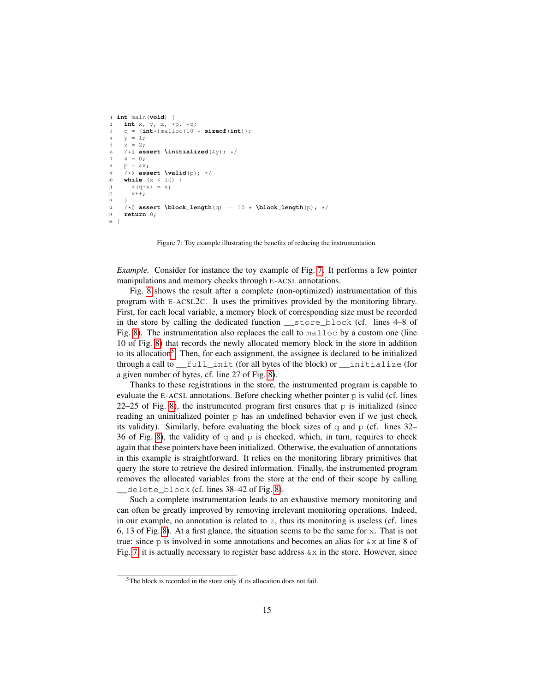```
1 int main(void) {
2 int x, y, z, *p, *q;
     3 q = (int*)malloc(10 * sizeof(int));
     y = 1;z = 2;6 /*@ assert \initialized(&y); */
     x = 0;p = \&x;9 /* @ assert \valid(p); */<br>10 while (x < 10) {
10 while (x < 10) {<br>11 *(x + x) = x;
11 *(q+x) = x;<br>12 x++;x++;13 }
14 /*\theta assert \block_length(q) == 10 * \block_length(p); */<br>15 return 0;
     return 0;
16 }
```
<span id="page-14-0"></span>Figure 7: Toy example illustrating the benefits of reducing the instrumentation.

*Example.* Consider for instance the toy example of Fig. [7.](#page-14-0) It performs a few pointer manipulations and memory checks through E-ACSL annotations.

Fig. [8](#page-15-0) shows the result after a complete (non-optimized) instrumentation of this program with E-ACSL2C. It uses the primitives provided by the monitoring library. First, for each local variable, a memory block of corresponding size must be recorded in the store by calling the dedicated function store block (cf. lines 4–8 of Fig. [8\)](#page-15-0). The instrumentation also replaces the call to malloc by a custom one (line 10 of Fig. [8\)](#page-15-0) that records the newly allocated memory block in the store in addition to its allocation<sup>[5](#page-14-1)</sup>. Then, for each assignment, the assignee is declared to be initialized through a call to \_\_full\_init (for all bytes of the block) or \_\_initialize (for a given number of bytes, cf. line 27 of Fig. [8\)](#page-15-0).

Thanks to these registrations in the store, the instrumented program is capable to evaluate the E-ACSL annotations. Before checking whether pointer  $p$  is valid (cf. lines 22–25 of Fig. [8\)](#page-15-0), the instrumented program first ensures that  $p$  is initialized (since reading an uninitialized pointer p has an undefined behavior even if we just check its validity). Similarly, before evaluating the block sizes of  $q$  and  $p$  (cf. lines 32– 36 of Fig. [8\)](#page-15-0), the validity of  $q$  and  $p$  is checked, which, in turn, requires to check again that these pointers have been initialized. Otherwise, the evaluation of annotations in this example is straightforward. It relies on the monitoring library primitives that query the store to retrieve the desired information. Finally, the instrumented program removes the allocated variables from the store at the end of their scope by calling \_\_delete\_block (cf. lines 38–42 of Fig. [8\)](#page-15-0).

Such a complete instrumentation leads to an exhaustive memory monitoring and can often be greatly improved by removing irrelevant monitoring operations. Indeed, in our example, no annotation is related to z, thus its monitoring is useless (cf. lines 6, 13 of Fig. [8\)](#page-15-0). At a first glance, the situation seems to be the same for x. That is not true: since p is involved in some annotations and becomes an alias for  $\&\times$  at line 8 of Fig. [7,](#page-14-0) it is actually necessary to register base address  $\&\times$  in the store. However, since

<span id="page-14-1"></span><sup>&</sup>lt;sup>5</sup>The block is recorded in the store only if its allocation does not fail.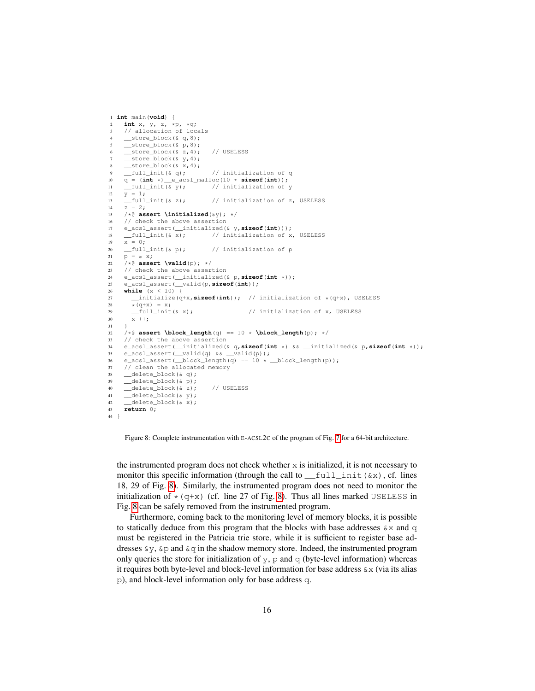```
1 int main(void) {
2 int x, y, z, *p, *q;<br>3 // allocation of loc
   // allocation of locals
    4 __store_block(& q,8);
    _store_block(& p, 8);
    __store_block(& z, 4); // USELESS
    __store_block(& y,4);
    _store_block(& \overline{x}, 4);
    I full_init(& q); // initialization of q
10 q = (\text{int} *) \_\text{e} \_\text{acs1_malloc}(10 * \text{sizeof}(\text{int}));<br>11 \_\text{full\_init(& y); // initialization of
                             // initialization of y
12 y = 1;<br>
13 full init (& z);
                               // initialization of z, USELESS
14 z = 2;15 /*@ assert \initialized(&y); */
16 // check the above assertion
17 e_acsl_assert(__initialized(& y,sizeof(int)));
18 __full_init(& x); // initialization of x, USELESS
19 X = 0;20 full init(& p); // initialization of p
21 p = \& X;22 /*@ assert \valid(p); */
23 // check the above assertion
24 e_acsl_assert(__initialized(& p,sizeof(int *));
25 e_acsl_assert(__valid(p,sizeof(int));
26 while (x < 10) {
27 \frac{1}{\star (q+x)} = x; \frac{q+x}{\star (q+x)} = x;28 *(q+x) = x;<br>29 full init (& x);
                                         // initialization of x, USELESS
30 x ++;
31 }
32 /\neq \emptyset assert \block_length(q) == 10 \star \block_length(p); \star/
    // check the above assertion
34 e_acsl_assert(__initialized(& q,sizeof(int *) && __initialized(& p,sizeof(int *));
   e_acsl_assert(__valid(q) && __valid(p));
36 e_acsl_assert(_block_length(q) == 10 * _block_length(p));<br>37 // clean the allocated memory
   37 // clean the allocated memory
38 __delete_block(& q);
39 __delete_block(& p);
40 __delete_block(& z); // USELESS
41 __delete_block(& y);
42 __delete_block(& x);
43 return 0;
44 }
```
<span id="page-15-0"></span>Figure 8: Complete instrumentation with E-ACSL2C of the program of Fig. [7](#page-14-0) for a 64-bit architecture.

the instrumented program does not check whether  $x$  is initialized, it is not necessary to monitor this specific information (through the call to  $\text{Iull}_init(\&x)$ , cf. lines 18, 29 of Fig. [8\)](#page-15-0). Similarly, the instrumented program does not need to monitor the initialization of  $\star$  (q+x) (cf. line 27 of Fig. [8\)](#page-15-0). Thus all lines marked USELESS in Fig. [8](#page-15-0) can be safely removed from the instrumented program.

Furthermore, coming back to the monitoring level of memory blocks, it is possible to statically deduce from this program that the blocks with base addresses  $\&\times$  and q must be registered in the Patricia trie store, while it is sufficient to register base addresses  $\&\vee$ ,  $\&\heartsuit$  and  $\&\heartsuit$  in the shadow memory store. Indeed, the instrumented program only queries the store for initialization of  $y$ , p and  $q$  (byte-level information) whereas it requires both byte-level and block-level information for base address &x (via its alias p), and block-level information only for base address q.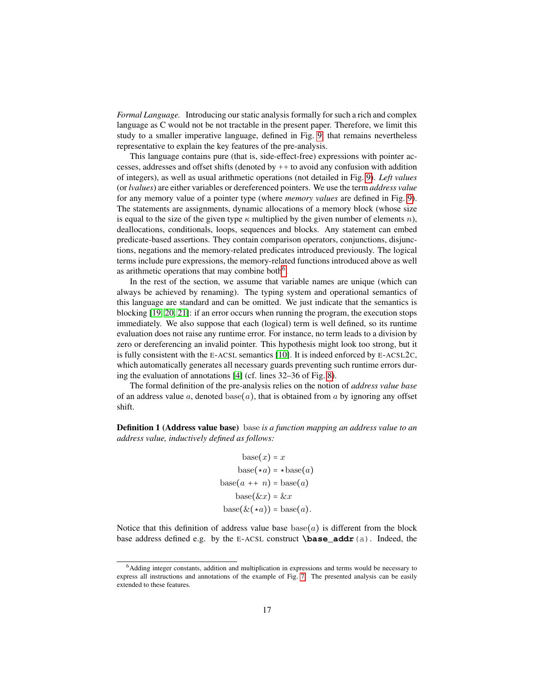*Formal Language.* Introducing our static analysis formally for such a rich and complex language as C would not be not tractable in the present paper. Therefore, we limit this study to a smaller imperative language, defined in Fig. [9,](#page-17-0) that remains nevertheless representative to explain the key features of the pre-analysis.

This language contains pure (that is, side-effect-free) expressions with pointer accesses, addresses and offset shifts (denoted by ++ to avoid any confusion with addition of integers), as well as usual arithmetic operations (not detailed in Fig. [9\)](#page-17-0). *Left values* (or *lvalues*) are either variables or dereferenced pointers. We use the term *address value* for any memory value of a pointer type (where *memory values* are defined in Fig. [9\)](#page-17-0). The statements are assignments, dynamic allocations of a memory block (whose size is equal to the size of the given type  $\kappa$  multiplied by the given number of elements n), deallocations, conditionals, loops, sequences and blocks. Any statement can embed predicate-based assertions. They contain comparison operators, conjunctions, disjunctions, negations and the memory-related predicates introduced previously. The logical terms include pure expressions, the memory-related functions introduced above as well as arithmetic operations that may combine both<sup>[6](#page-16-0)</sup>.

In the rest of the section, we assume that variable names are unique (which can always be achieved by renaming). The typing system and operational semantics of this language are standard and can be omitted. We just indicate that the semantics is blocking [\[19,](#page-31-14) [20,](#page-32-0) [21\]](#page-32-1): if an error occurs when running the program, the execution stops immediately. We also suppose that each (logical) term is well defined, so its runtime evaluation does not raise any runtime error. For instance, no term leads to a division by zero or dereferencing an invalid pointer. This hypothesis might look too strong, but it is fully consistent with the E-ACSL semantics [\[10\]](#page-31-5). It is indeed enforced by E-ACSL2C, which automatically generates all necessary guards preventing such runtime errors during the evaluation of annotations [\[4\]](#page-30-3) (cf. lines 32–36 of Fig. [8\)](#page-15-0).

The formal definition of the pre-analysis relies on the notion of *address value base* of an address value a, denoted base(a), that is obtained from a by ignoring any offset shift.

Definition 1 (Address value base) base *is a function mapping an address value to an address value, inductively defined as follows:*

> $base(x) = x$  $base(\star a) = \star base(a)$  $base(a + n) = base(a)$  $base(\&x) = \&x$  $base(\&(\star a)) = base(a).$

Notice that this definition of address value base  $base(a)$  is different from the block base address defined e.g. by the E-ACSL construct **\base\_addr**(a). Indeed, the

<span id="page-16-0"></span><sup>&</sup>lt;sup>6</sup>Adding integer constants, addition and multiplication in expressions and terms would be necessary to express all instructions and annotations of the example of Fig. [7.](#page-14-0) The presented analysis can be easily extended to these features.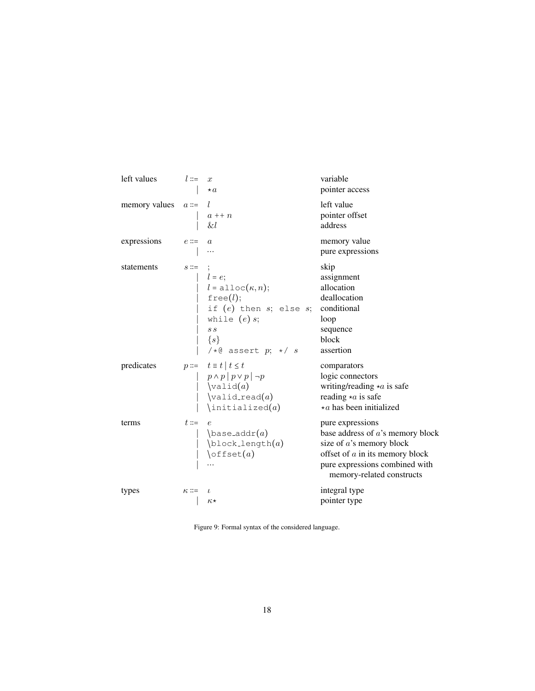| left values           | $l ::=$       | $\boldsymbol{x}$<br>$\star a$                                                                                                                                                          | variable<br>pointer access                                                                                                                                                                 |
|-----------------------|---------------|----------------------------------------------------------------------------------------------------------------------------------------------------------------------------------------|--------------------------------------------------------------------------------------------------------------------------------------------------------------------------------------------|
| memory values $a ::=$ |               | l<br>$a + n$<br>$\&l$                                                                                                                                                                  | left value<br>pointer offset<br>address                                                                                                                                                    |
| expressions           | $e \coloneqq$ | $\boldsymbol{a}$                                                                                                                                                                       | memory value<br>pure expressions                                                                                                                                                           |
| statements            | $s ::=$       | $l = e;$<br>$l = \text{alloc}(\kappa, n);$<br>free $(l)$ ;<br>if $(e)$ then $s$ ; else $s$ ;<br>while $(e)$ s;<br>$\boldsymbol{S}$ $\boldsymbol{S}$<br>$\{s\}$<br>$/*@$ assert p; */ s | skip<br>assignment<br>allocation<br>deallocation<br>conditional<br>loop<br>sequence<br>block<br>assertion                                                                                  |
| predicates            |               | $p ::= t \equiv t   t \leq t$<br>$\left  p \wedge p \mid p \vee p \mid \neg p \right $<br>$\forall$ alid $(a)$<br>$\text{valid.read}(a)$<br>$\int_{i \in \mathbb{Z}} f(x) dx$          | comparators<br>logic connectors<br>writing/reading $\star a$ is safe<br>reading $\star a$ is safe<br>$\star$ <i>a</i> has been initialized                                                 |
| terms                 | $t ::=$       | $\epsilon$<br>$\text{base} \cdot \text{addr}(a)$<br>$\blacksquare$ ength $(a)$<br>$\text{offset}(a)$                                                                                   | pure expressions<br>base address of $a$ 's memory block<br>size of $a$ 's memory block<br>offset of $a$ in its memory block<br>pure expressions combined with<br>memory-related constructs |
| types                 | $\kappa ::=$  | $\kappa\star$                                                                                                                                                                          | integral type<br>pointer type                                                                                                                                                              |

<span id="page-17-0"></span>Figure 9: Formal syntax of the considered language.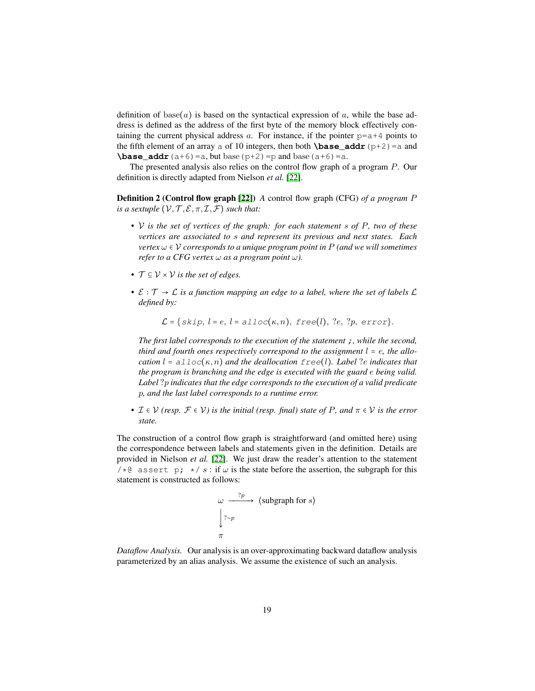definition of base $(a)$  is based on the syntactical expression of a, while the base address is defined as the address of the first byte of the memory block effectively containing the current physical address a. For instance, if the pointer  $p=a+4$  points to the fifth element of an array a of 10 integers, then both **\base\_addr** ( $p+2$ ) = a and **\base\_addr**  $(a+6) = a$ , but base  $(p+2) = p$  and base  $(a+6) = a$ .

The presented analysis also relies on the control flow graph of a program P. Our definition is directly adapted from Nielson *et al.* [\[22\]](#page-32-2).

Definition 2 (Control flow graph [\[22\]](#page-32-2)) *A* control flow graph (CFG) *of a program* P *is a sextuple*  $(V, \mathcal{T}, \mathcal{E}, \pi, \mathcal{I}, \mathcal{F})$  *such that:* 

- *•* V *is the set of vertices of the graph: for each statement* s *of* P*, two of these vertices are associated to* s *and represent its previous and next states. Each vertex* ω ∈ V *corresponds to a unique program point in* P *(and we will sometimes refer to a CFG vertex*  $\omega$  *as a program point*  $\omega$ *).*
- $\mathcal{T} \subseteq \mathcal{V} \times \mathcal{V}$  *is the set of edges.*
- *•* E ∶ T → L *is a function mapping an edge to a label, where the set of labels* L *defined by:*

$$
\mathcal{L} = \{ skip, l = e, l = alloc(\kappa, n), free(l), ?e, ?p, error\}.
$$

*The first label corresponds to the execution of the statement* ;*, while the second, third and fourth ones respectively correspond to the assignment*  $l = e$ , the allo*cation*  $l = \text{alloc}(\kappa, n)$  *and the deallocation*  $\text{free}(l)$ *. Label* ?*e indicates that the program is branching and the edge is executed with the guard* e *being valid. Label* ?p *indicates that the edge corresponds to the execution of a valid predicate* p*, and the last label corresponds to a runtime error.*

*•* I ∈ V *(resp.* F ∈ V*) is the initial (resp. final) state of* P*, and* π ∈ V *is the error state.*

The construction of a control flow graph is straightforward (and omitted here) using the correspondence between labels and statements given in the definition. Details are provided in Nielson *et al.* [\[22\]](#page-32-2). We just draw the reader's attention to the statement  $/\star$ @ assert p;  $\star$  / s : if  $\omega$  is the state before the assertion, the subgraph for this statement is constructed as follows:

$$
\omega \xrightarrow{\gamma_p} \langle \text{subgraph for } s \rangle
$$
  

$$
\downarrow^{\gamma_{\neg p}}
$$
  

$$
\pi
$$

*Dataflow Analysis.* Our analysis is an over-approximating backward dataflow analysis parameterized by an alias analysis. We assume the existence of such an analysis.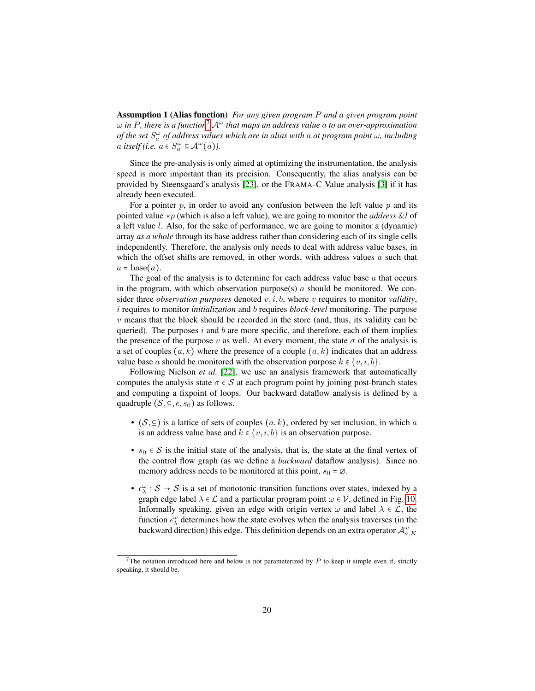Assumption 1 (Alias function) *For any given program* P *and a given program point*  $\omega$  in P, there is a function<sup>[7](#page-19-0)</sup>  $\mathcal{A}^\omega$  that maps an address value  $a$  to an over-approximation *of the set*  $S_a^{\omega}$  *of address values which are in alias with a at program point*  $\omega$ *, including*  $a$  *itself* (*i.e.*  $a \in S_a^{\omega} \subseteq \mathcal{A}^{\omega}(a)$ *).* 

Since the pre-analysis is only aimed at optimizing the instrumentation, the analysis speed is more important than its precision. Consequently, the alias analysis can be provided by Steensgaard's analysis [\[23\]](#page-32-3), or the FRAMA-C Value analysis [\[3\]](#page-30-2) if it has already been executed.

For a pointer p, in order to avoid any confusion between the left value  $p$  and its pointed value  $\star p$  (which is also a left value), we are going to monitor the *address* &l of a left value l. Also, for the sake of performance, we are going to monitor a (dynamic) array *as a whole* through its base address rather than considering each of its single cells independently. Therefore, the analysis only needs to deal with address value bases, in which the offset shifts are removed, in other words, with address values  $a$  such that  $a = \text{base}(a)$ .

The goal of the analysis is to determine for each address value base  $a$  that occurs in the program, with which observation purpose(s)  $a$  should be monitored. We consider three *observation purposes* denoted  $v, i, b$ , where v requires to monitor *validity*, i requires to monitor *initialization* and b requires *block-level* monitoring. The purpose v means that the block should be recorded in the store (and, thus, its validity can be queried). The purposes  $i$  and  $b$  are more specific, and therefore, each of them implies the presence of the purpose v as well. At every moment, the state  $\sigma$  of the analysis is a set of couples  $(a, k)$  where the presence of a couple  $(a, k)$  indicates that an address value base a should be monitored with the observation purpose  $k \in \{v, i, b\}$ .

Following Nielson *et al.* [\[22\]](#page-32-2), we use an analysis framework that automatically computes the analysis state  $\sigma \in S$  at each program point by joining post-branch states and computing a fixpoint of loops. Our backward dataflow analysis is defined by a quadruple  $(S, \subseteq, \epsilon, s_0)$  as follows.

- $(S, \subseteq)$  is a lattice of sets of couples  $(a, k)$ , ordered by set inclusion, in which a is an address value base and  $k \in \{v, i, b\}$  is an observation purpose.
- $s_0 \in S$  is the initial state of the analysis, that is, the state at the final vertex of the control flow graph (as we define a *backward* dataflow analysis). Since no memory address needs to be monitored at this point,  $s_0 = \emptyset$ .
- $\epsilon_{\lambda}^{\omega}$  :  $S \to S$  is a set of monotonic transition functions over states, indexed by a graph edge label  $\lambda \in \mathcal{L}$  and a particular program point  $\omega \in \mathcal{V}$ , defined in Fig. [10.](#page-20-0) Informally speaking, given an edge with origin vertex  $\omega$  and label  $\lambda \in \mathcal{L}$ , the function  $\epsilon_{\lambda}^{\omega}$  determines how the state evolves when the analysis traverses (in the backward direction) this edge. This definition depends on an extra operator  $\mathcal{A}_{a,K}^{\omega}$

<span id="page-19-0"></span><sup>&</sup>lt;sup>7</sup>The notation introduced here and below is not parameterized by  $P$  to keep it simple even if, strictly speaking, it should be.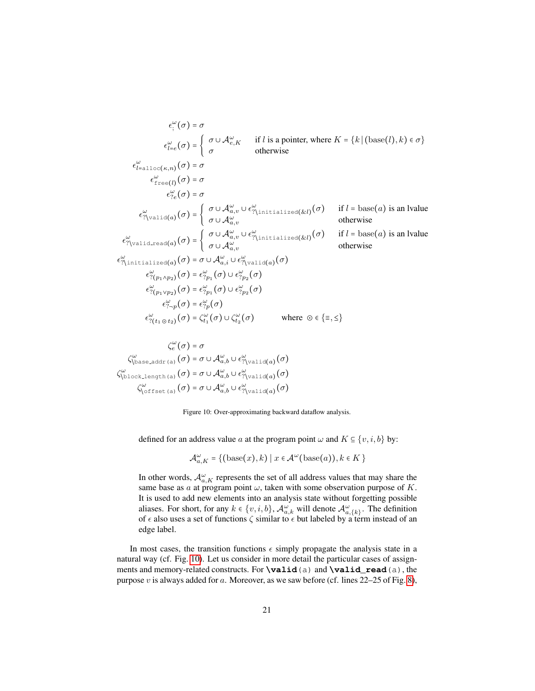$$
\epsilon_{\cdot}^{\omega}(\sigma) = \sigma
$$
\n
$$
\epsilon_{l=e}^{\omega}(\sigma) = \begin{cases}\n\sigma \cup \mathcal{A}_{e,K}^{\omega} & \text{if } l \text{ is a pointer, where } K = \{k \mid (\text{base}(l), k) \in \sigma\} \\
\sigma & \text{otherwise}\n\end{cases}
$$
\n
$$
\epsilon_{l=e(1)}^{\omega}(\sigma) = \sigma
$$
\n
$$
\epsilon_{r\text{rec}(l)}^{\omega}(\sigma) = \sigma
$$
\n
$$
\epsilon_{\gamma}^{\omega}(\sigma) = \sigma
$$
\n
$$
\epsilon_{\gamma}^{\omega}(\sigma) = \sigma
$$
\n
$$
\epsilon_{\gamma}^{\omega}(\sigma) = \begin{cases}\n\sigma \cup \mathcal{A}_{a,v}^{\omega} \cup \epsilon_{\gamma \text{initialized}(\& l)}^{\omega}(\sigma) & \text{if } l = \text{base}(a) \text{ is an lvalue} \\
\sigma \cup \mathcal{A}_{a,v}^{\omega} & \text{otherwise}\n\end{cases}
$$
\n
$$
\epsilon_{\gamma \text{valid.read}(a)}^{\omega}(\sigma) = \begin{cases}\n\sigma \cup \mathcal{A}_{a,v}^{\omega} \cup \epsilon_{\gamma \text{initialized}(\& l)}^{\omega}(\sigma) & \text{if } l = \text{base}(a) \text{ is an lvalue} \\
\sigma \cup \mathcal{A}_{a,v}^{\omega} \cup \epsilon_{\gamma \text{initialized}(\& l)}^{\omega}(\sigma) & \text{if } l = \text{base}(a) \text{ is an lvalue} \\
\sigma \cup \mathcal{A}_{a,v}^{\omega} \cup \epsilon_{\gamma \text{valid}(a)}^{\omega}(\sigma) & \text{otherwise}\n\end{cases}
$$
\n
$$
\epsilon_{\gamma \text{initialized}(a)}^{\omega}(\sigma) = \epsilon_{\gamma}^{\omega}(\sigma) \cup \epsilon_{\gamma}^{\omega}(\sigma)
$$
\n
$$
\epsilon_{\gamma}^{\omega}(\sigma_{1} \vee \rho_{2})^{\omega}(\sigma) = \epsilon_{\gamma}^{\omega}(\sigma) \cup \epsilon_{\gamma}^{\omega}(\sigma)
$$
\n
$$
\epsilon_{\gamma}^{\omega}(\sigma) = \epsilon_{\gamma}^{\omega}(\sigma)
$$
\n
$$
\epsilon_{\gamma}^{\omega}(\sigma) = \epsilon_{\gamma}^{\omega}(\sigma)
$$
\n<math display="</math>

$$
\zeta_e^{\omega}(\sigma) = \sigma
$$
\n
$$
\zeta_{\text{base.addr (a)}}^{\omega}(\sigma) = \sigma \cup \mathcal{A}_{a,b}^{\omega} \cup \epsilon_{\text{yvalid}(a)}^{\omega}(\sigma)
$$
\n
$$
\zeta_{\text{block.length (a)}}^{\omega}(\sigma) = \sigma \cup \mathcal{A}_{a,b}^{\omega} \cup \epsilon_{\text{yvalid}(a)}^{\omega}(\sigma)
$$
\n
$$
\zeta_{\text{offset (a)}}^{\omega}(\sigma) = \sigma \cup \mathcal{A}_{a,b}^{\omega} \cup \epsilon_{\text{yvalid}(a)}^{\omega}(\sigma)
$$

<span id="page-20-0"></span>Figure 10: Over-approximating backward dataflow analysis.

defined for an address value a at the program point  $\omega$  and  $K \subseteq \{v, i, b\}$  by:

$$
\mathcal{A}_{a,K}^{\omega} = \{ (\text{base}(x), k) \mid x \in \mathcal{A}^{\omega}(\text{base}(a)), k \in K \}
$$

In other words,  $\mathcal{A}_{a,K}^{\omega}$  represents the set of all address values that may share the same base as a at program point  $\omega$ , taken with some observation purpose of K. It is used to add new elements into an analysis state without forgetting possible aliases. For short, for any  $k \in \{v, i, b\}$ ,  $\mathcal{A}_{a,k}^{\omega}$  will denote  $\mathcal{A}_{a,\{k\}}^{\omega}$ . The definition of  $\epsilon$  also uses a set of functions  $\zeta$  similar to  $\epsilon$  but labeled by a term instead of an edge label.

In most cases, the transition functions  $\epsilon$  simply propagate the analysis state in a natural way (cf. Fig. [10\)](#page-20-0). Let us consider in more detail the particular cases of assignments and memory-related constructs. For **\valid**(a) and **\valid\_read**(a), the purpose  $v$  is always added for  $a$ . Moreover, as we saw before (cf. lines 22–25 of Fig. [8\)](#page-15-0),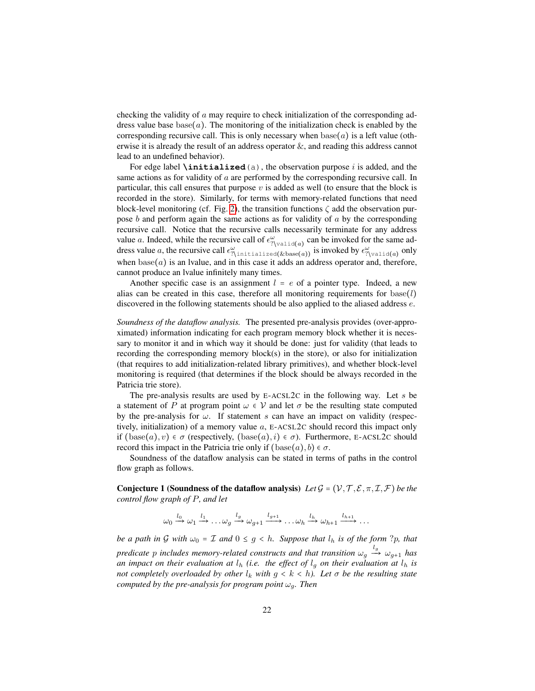checking the validity of a may require to check initialization of the corresponding address value base  $base(a)$ . The monitoring of the initialization check is enabled by the corresponding recursive call. This is only necessary when  $base(a)$  is a left value (otherwise it is already the result of an address operator  $\&$ , and reading this address cannot lead to an undefined behavior).

For edge label **\initialized**(a), the observation purpose i is added, and the same actions as for validity of  $a$  are performed by the corresponding recursive call. In particular, this call ensures that purpose  $v$  is added as well (to ensure that the block is recorded in the store). Similarly, for terms with memory-related functions that need block-level monitoring (cf. Fig. [2\)](#page-5-0), the transition functions  $\zeta$  add the observation purpose  $b$  and perform again the same actions as for validity of  $a$  by the corresponding recursive call. Notice that the recursive calls necessarily terminate for any address value a. Indeed, while the recursive call of  $\epsilon^{\omega}_{? \text{valid}(a)}$  can be invoked for the same address value a, the recursive call  $\epsilon^{\omega}_{\text{2/initialized}(\&\text{base}(a))}$  is invoked by  $\epsilon^{\omega}_{\text{2/valid}(a)}$  only when  $base(a)$  is an Ivalue, and in this case it adds an address operator and, therefore, cannot produce an lvalue infinitely many times.

Another specific case is an assignment  $l = e$  of a pointer type. Indeed, a new alias can be created in this case, therefore all monitoring requirements for base $(l)$ discovered in the following statements should be also applied to the aliased address e.

*Soundness of the dataflow analysis.* The presented pre-analysis provides (over-approximated) information indicating for each program memory block whether it is necessary to monitor it and in which way it should be done: just for validity (that leads to recording the corresponding memory block(s) in the store), or also for initialization (that requires to add initialization-related library primitives), and whether block-level monitoring is required (that determines if the block should be always recorded in the Patricia trie store).

The pre-analysis results are used by  $E$ -ACSL2C in the following way. Let s be a statement of P at program point  $\omega \in V$  and let  $\sigma$  be the resulting state computed by the pre-analysis for  $\omega$ . If statement s can have an impact on validity (respectively, initialization) of a memory value a, E-ACSL2C should record this impact only if  $(base(a), v) \in \sigma$  (respectively,  $(base(a), i) \in \sigma$ ). Furthermore, E-ACSL2C should record this impact in the Patricia trie only if  $(\text{base}(a), b) \in \sigma$ .

Soundness of the dataflow analysis can be stated in terms of paths in the control flow graph as follows.

**Conjecture 1 (Soundness of the dataflow analysis)** *Let*  $\mathcal{G} = (\mathcal{V}, \mathcal{T}, \mathcal{E}, \pi, \mathcal{I}, \mathcal{F})$  *be the control flow graph of* P*, and let*

$$
\omega_0 \xrightarrow{l_0} \omega_1 \xrightarrow{l_1} \dots \omega_g \xrightarrow{l_g} \omega_{g+1} \xrightarrow{l_{g+1}} \dots \omega_h \xrightarrow{l_h} \omega_{h+1} \xrightarrow{l_{h+1}} \dots
$$

*be a path in* G *with*  $\omega_0 = I$  *and*  $0 \leq g \leq h$ *. Suppose that*  $l_h$  *is of the form* ?*p, that predicate p includes memory-related constructs and that transition*  $\omega_g \stackrel{l_g}{\rightarrow} \omega_{g+1}$  has *an impact on their evaluation at*  $l_h$  *(i.e. the effect of*  $l_g$  *on their evaluation at*  $l_h$  *is not completely overloaded by other*  $l_k$  *with*  $g < k < h$ *). Let*  $\sigma$  *be the resulting state computed by the pre-analysis for program point* ωg*. Then*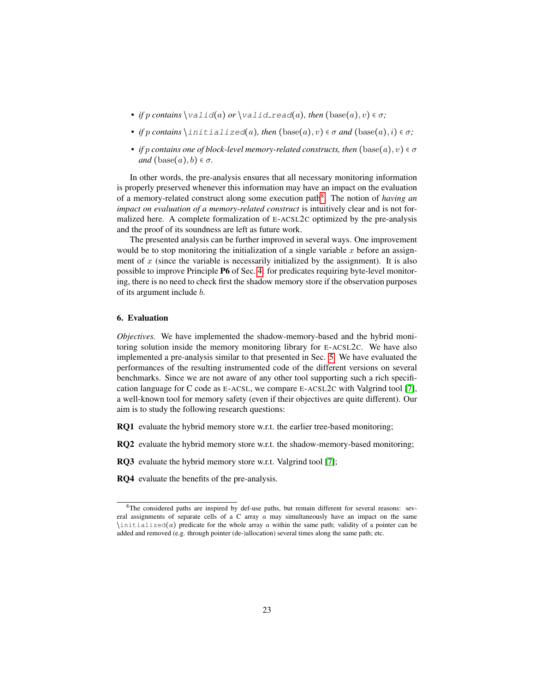- *if*  $p$  *contains*  $\valid(a)$  *or*  $\valid\_read(a)$ *, then*  $(base(a), v) \in \sigma$ ;
- *if* p *contains*  $\in$ *initialized(a), then*  $(\text{base}(a), v) \in \sigma$  *and*  $(\text{base}(a), i) \in \sigma$ ;
- *if* p contains one of block-level memory-related constructs, then  $(\text{base}(a), v) \in \sigma$ *and*  $(base(a), b) \in \sigma$ .

In other words, the pre-analysis ensures that all necessary monitoring information is properly preserved whenever this information may have an impact on the evaluation of a memory-related construct along some execution path<sup>[8](#page-22-1)</sup>. The notion of *having an impact on evaluation of a memory-related construct* is intuitively clear and is not formalized here. A complete formalization of E-ACSL2C optimized by the pre-analysis and the proof of its soundness are left as future work.

The presented analysis can be further improved in several ways. One improvement would be to stop monitoring the initialization of a single variable  $x$  before an assignment of  $x$  (since the variable is necessarily initialized by the assignment). It is also possible to improve Principle P6 of Sec. [4:](#page-7-0) for predicates requiring byte-level monitoring, there is no need to check first the shadow memory store if the observation purposes of its argument include b.

# <span id="page-22-0"></span>6. Evaluation

*Objectives.* We have implemented the shadow-memory-based and the hybrid monitoring solution inside the memory monitoring library for E-ACSL2C. We have also implemented a pre-analysis similar to that presented in Sec. [5.](#page-13-0) We have evaluated the performances of the resulting instrumented code of the different versions on several benchmarks. Since we are not aware of any other tool supporting such a rich specification language for C code as E-ACSL, we compare E-ACSL2C with Valgrind tool [\[7\]](#page-31-2), a well-known tool for memory safety (even if their objectives are quite different). Our aim is to study the following research questions:

RQ1 evaluate the hybrid memory store w.r.t. the earlier tree-based monitoring;

RQ2 evaluate the hybrid memory store w.r.t. the shadow-memory-based monitoring;

RQ3 evaluate the hybrid memory store w.r.t. Valgrind tool [\[7\]](#page-31-2);

RQ4 evaluate the benefits of the pre-analysis.

<span id="page-22-1"></span><sup>&</sup>lt;sup>8</sup>The considered paths are inspired by def-use paths, but remain different for several reasons: several assignments of separate cells of a C array  $\alpha$  may simultaneously have an impact on the same  $\int$ initialized(a) predicate for the whole array a within the same path; validity of a pointer can be added and removed (e.g. through pointer (de-)allocation) several times along the same path; etc.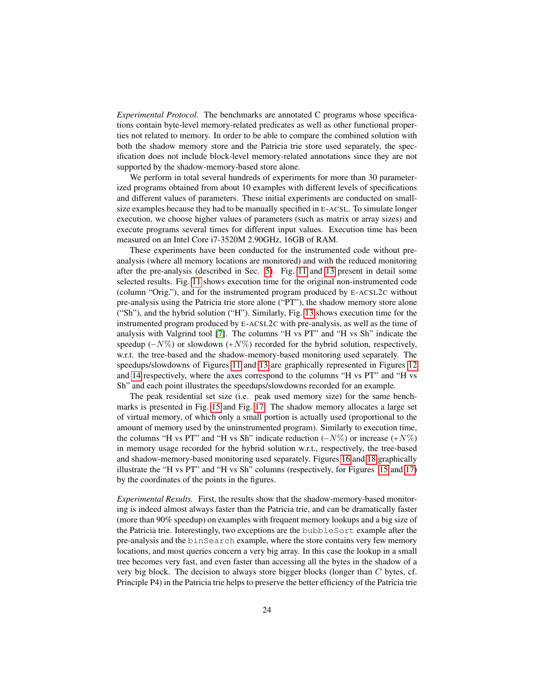*Experimental Protocol.* The benchmarks are annotated C programs whose specifications contain byte-level memory-related predicates as well as other functional properties not related to memory. In order to be able to compare the combined solution with both the shadow memory store and the Patricia trie store used separately, the specification does not include block-level memory-related annotations since they are not supported by the shadow-memory-based store alone.

We perform in total several hundreds of experiments for more than 30 parameterized programs obtained from about 10 examples with different levels of specifications and different values of parameters. These initial experiments are conducted on smallsize examples because they had to be manually specified in E-ACSL. To simulate longer execution, we choose higher values of parameters (such as matrix or array sizes) and execute programs several times for different input values. Execution time has been measured on an Intel Core i7-3520M 2.90GHz, 16GB of RAM.

These experiments have been conducted for the instrumented code without preanalysis (where all memory locations are monitored) and with the reduced monitoring after the pre-analysis (described in Sec. [5\)](#page-13-0). Fig. [11](#page-24-0) and [13](#page-25-0) present in detail some selected results. Fig. [11](#page-24-0) shows execution time for the original non-instrumented code (column "Orig."), and for the instrumented program produced by E-ACSL2C without pre-analysis using the Patricia trie store alone ("PT"), the shadow memory store alone ("Sh"), and the hybrid solution ("H"). Similarly, Fig. [13](#page-25-0) shows execution time for the instrumented program produced by E-ACSL2C with pre-analysis, as well as the time of analysis with Valgrind tool [\[7\]](#page-31-2). The columns "H vs PT" and "H vs Sh" indicate the speedup ( $-N\%$ ) or slowdown (+ $N\%$ ) recorded for the hybrid solution, respectively, w.r.t. the tree-based and the shadow-memory-based monitoring used separately. The speedups/slowdowns of Figures [11](#page-24-0) and [13](#page-25-0) are graphically represented in Figures [12](#page-24-1) and [14](#page-25-1) respectively, where the axes correspond to the columns "H vs PT" and "H vs Sh" and each point illustrates the speedups/slowdowns recorded for an example.

The peak residential set size (i.e. peak used memory size) for the same benchmarks is presented in Fig. [15](#page-26-0) and Fig. [17.](#page-27-0) The shadow memory allocates a large set of virtual memory, of which only a small portion is actually used (proportional to the amount of memory used by the uninstrumented program). Similarly to execution time, the columns "H vs PT" and "H vs Sh" indicate reduction  $(-N\%)$  or increase  $(+N\%)$ in memory usage recorded for the hybrid solution w.r.t., respectively, the tree-based and shadow-memory-based monitoring used separately. Figures [16](#page-26-1) and [18](#page-27-1) graphically illustrate the "H vs PT" and "H vs Sh" columns (respectively, for Figures [15](#page-26-0) and [17\)](#page-27-0) by the coordinates of the points in the figures.

*Experimental Results.* First, the results show that the shadow-memory-based monitoring is indeed almost always faster than the Patricia trie, and can be dramatically faster (more than 90% speedup) on examples with frequent memory lookups and a big size of the Patricia trie. Interestingly, two exceptions are the bubbleSort example after the pre-analysis and the binSearch example, where the store contains very few memory locations, and most queries concern a very big array. In this case the lookup in a small tree becomes very fast, and even faster than accessing all the bytes in the shadow of a very big block. The decision to always store bigger blocks (longer than C bytes, cf. Principle P4) in the Patricia trie helps to preserve the better efficiency of the Patricia trie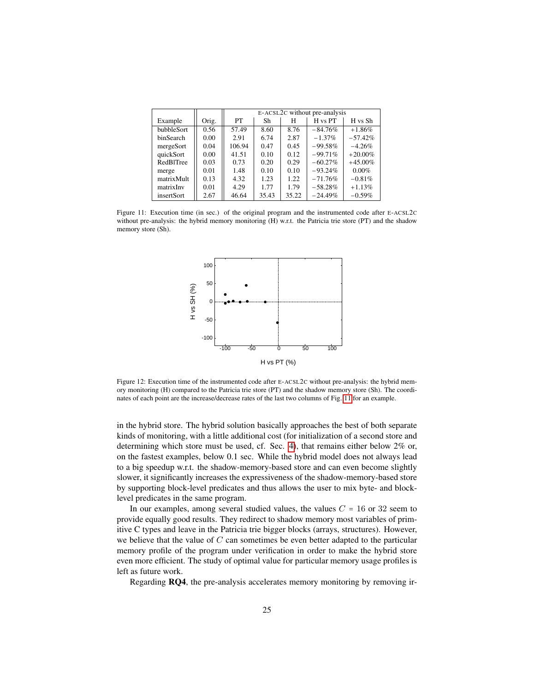|            |       | E-ACSL2C without pre-analysis |       |       |           |            |
|------------|-------|-------------------------------|-------|-------|-----------|------------|
| Example    | Orig. | PT                            | Sh    | н     | H vs PT   | H vs Sh    |
| bubbleSort | 0.56  | 57.49                         | 8.60  | 8.76  | $-84.76%$ | $+1.86%$   |
| binSearch  | 0.00  | 2.91                          | 6.74  | 2.87  | $-1.37\%$ | $-57.42%$  |
| mergeSort  | 0.04  | 106.94                        | 0.47  | 0.45  | $-99.58%$ | $-4.26%$   |
| quickSort  | 0.00  | 41.51                         | 0.10  | 0.12  | $-99.71%$ | $+20.00\%$ |
| RedBlTree  | 0.03  | 0.73                          | 0.20  | 0.29  | $-60.27%$ | $+45.00\%$ |
| merge      | 0.01  | 1.48                          | 0.10  | 0.10  | $-93.24%$ | $0.00\%$   |
| matrixMult | 0.13  | 4.32                          | 1.23  | 1.22  | $-71.76%$ | $-0.81%$   |
| matrixInv  | 0.01  | 4.29                          | 1.77  | 1.79  | $-58.28%$ | $+1.13%$   |
| insertSort | 2.67  | 46.64                         | 35.43 | 35.22 | $-24.49%$ | $-0.59%$   |

<span id="page-24-0"></span>Figure 11: Execution time (in sec.) of the original program and the instrumented code after E-ACSL2C without pre-analysis: the hybrid memory monitoring (H) w.r.t. the Patricia trie store (PT) and the shadow memory store (Sh).



<span id="page-24-1"></span>Figure 12: Execution time of the instrumented code after E-ACSL2C without pre-analysis: the hybrid memory monitoring (H) compared to the Patricia trie store (PT) and the shadow memory store (Sh). The coordinates of each point are the increase/decrease rates of the last two columns of Fig. [11](#page-24-0) for an example.

in the hybrid store. The hybrid solution basically approaches the best of both separate kinds of monitoring, with a little additional cost (for initialization of a second store and determining which store must be used, cf. Sec. [4\)](#page-7-0), that remains either below 2% or, on the fastest examples, below 0.1 sec. While the hybrid model does not always lead to a big speedup w.r.t. the shadow-memory-based store and can even become slightly slower, it significantly increases the expressiveness of the shadow-memory-based store by supporting block-level predicates and thus allows the user to mix byte- and blocklevel predicates in the same program.

In our examples, among several studied values, the values  $C = 16$  or 32 seem to provide equally good results. They redirect to shadow memory most variables of primitive C types and leave in the Patricia trie bigger blocks (arrays, structures). However, we believe that the value of C can sometimes be even better adapted to the particular memory profile of the program under verification in order to make the hybrid store even more efficient. The study of optimal value for particular memory usage profiles is left as future work.

Regarding RQ4, the pre-analysis accelerates memory monitoring by removing ir-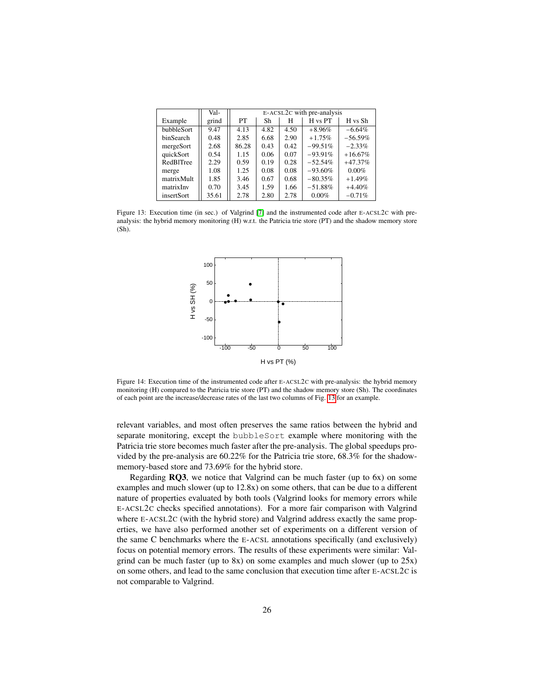|            | Val-  | E-ACSL2C with pre-analysis |      |      |            |            |  |
|------------|-------|----------------------------|------|------|------------|------------|--|
| Example    | grind | PT                         | Sh   | Н    | H vs PT    | H vs Sh    |  |
| bubbleSort | 9.47  | 4.13                       | 4.82 | 4.50 | $+8.96%$   | $-6.64%$   |  |
| binSearch  | 0.48  | 2.85                       | 6.68 | 2.90 | $+1.75%$   | $-56.59\%$ |  |
| mergeSort  | 2.68  | 86.28                      | 0.43 | 0.42 | $-99.51%$  | $-2.33\%$  |  |
| quickSort  | 0.54  | 1.15                       | 0.06 | 0.07 | $-93.91%$  | $+16.67%$  |  |
| RedBlTree  | 2.29  | 0.59                       | 0.19 | 0.28 | $-52.54%$  | $+47.37%$  |  |
| merge      | 1.08  | 1.25                       | 0.08 | 0.08 | $-93.60\%$ | $0.00\%$   |  |
| matrixMult | 1.85  | 3.46                       | 0.67 | 0.68 | $-80.35%$  | $+1.49%$   |  |
| matrixInv  | 0.70  | 3.45                       | 1.59 | 1.66 | $-51.88%$  | $+4.40%$   |  |
| insertSort | 35.61 | 2.78                       | 2.80 | 2.78 | $0.00\%$   | $-0.71%$   |  |

<span id="page-25-0"></span>Figure 13: Execution time (in sec.) of Valgrind [\[7\]](#page-31-2) and the instrumented code after E-ACSL2C with preanalysis: the hybrid memory monitoring (H) w.r.t. the Patricia trie store (PT) and the shadow memory store (Sh).



<span id="page-25-1"></span>Figure 14: Execution time of the instrumented code after E-ACSL2C with pre-analysis: the hybrid memory monitoring (H) compared to the Patricia trie store (PT) and the shadow memory store (Sh). The coordinates of each point are the increase/decrease rates of the last two columns of Fig. [13](#page-25-0) for an example.

relevant variables, and most often preserves the same ratios between the hybrid and separate monitoring, except the bubbleSort example where monitoring with the Patricia trie store becomes much faster after the pre-analysis. The global speedups provided by the pre-analysis are 60.22% for the Patricia trie store, 68.3% for the shadowmemory-based store and 73.69% for the hybrid store.

Regarding  $RQ3$ , we notice that Valgrind can be much faster (up to 6x) on some examples and much slower (up to 12.8x) on some others, that can be due to a different nature of properties evaluated by both tools (Valgrind looks for memory errors while E-ACSL2C checks specified annotations). For a more fair comparison with Valgrind where E-ACSL2C (with the hybrid store) and Valgrind address exactly the same properties, we have also performed another set of experiments on a different version of the same C benchmarks where the E-ACSL annotations specifically (and exclusively) focus on potential memory errors. The results of these experiments were similar: Valgrind can be much faster (up to 8x) on some examples and much slower (up to 25x) on some others, and lead to the same conclusion that execution time after E-ACSL2C is not comparable to Valgrind.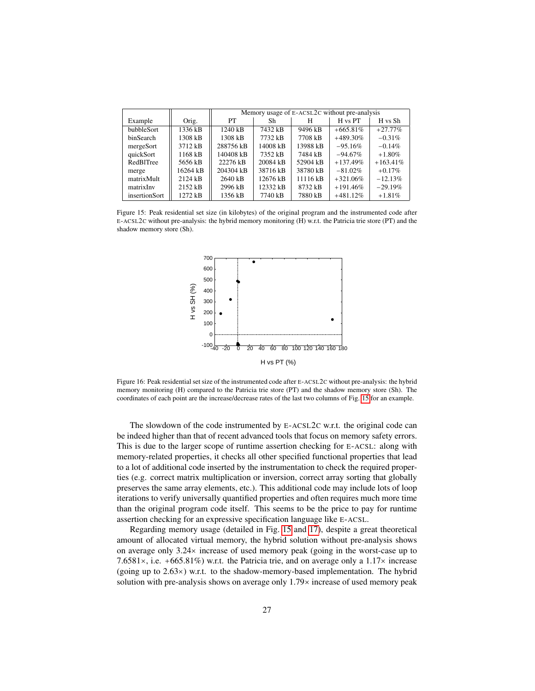|               |          | Memory usage of E-ACSL2C without pre-analysis |          |          |             |             |
|---------------|----------|-----------------------------------------------|----------|----------|-------------|-------------|
| Example       | Orig.    | PT                                            | Sh       | н        | H vs PT     | H vs Sh     |
| bubbleSort    | 1336 kB  | 1240 kB                                       | 7432 kB  | 9496 kB  | $+665.81\%$ | $+27.77\%$  |
| binSearch     | 1308 kB  | 1308 kB                                       | 7732 kB  | 7708 kB  | $+489.30\%$ | $-0.31\%$   |
| mergeSort     | 3712 kB  | 288756 kB                                     | 14008 kB | 13988 kB | $-95.16%$   | $-0.14%$    |
| quickSort     | 1168 kB  | 140408 kB                                     | 7352 kB  | 7484 kB  | $-94.67\%$  | $+1.80\%$   |
| RedBITree     | 5656 kB  | 22276 kB                                      | 20084 kB | 52904 kB | $+137.49\%$ | $+163.41\%$ |
| merge         | 16264 kB | 204304 kB                                     | 38716 kB | 38780 kB | $-81.02\%$  | $+0.17%$    |
| matrixMult    | 2124 kB  | 2640 kB                                       | 12676 kB | 11116 kB | $+321.06\%$ | $-12.13%$   |
| matrixInv     | 2152 kB  | 2996 kB                                       | 12332 kB | 8732 kB  | $+191.46%$  | $-29.19%$   |
| insertionSort | 1272 kB  | 1356 kB                                       | 7740 kB  | 7880 kB  | $+481.12%$  | $+1.81%$    |

<span id="page-26-0"></span>Figure 15: Peak residential set size (in kilobytes) of the original program and the instrumented code after E-ACSL2C without pre-analysis: the hybrid memory monitoring (H) w.r.t. the Patricia trie store (PT) and the shadow memory store (Sh).



<span id="page-26-1"></span>Figure 16: Peak residential set size of the instrumented code after E-ACSL2C without pre-analysis: the hybrid memory monitoring (H) compared to the Patricia trie store (PT) and the shadow memory store (Sh). The coordinates of each point are the increase/decrease rates of the last two columns of Fig. [15](#page-26-0) for an example.

The slowdown of the code instrumented by E-ACSL2C w.r.t. the original code can be indeed higher than that of recent advanced tools that focus on memory safety errors. This is due to the larger scope of runtime assertion checking for E-ACSL: along with memory-related properties, it checks all other specified functional properties that lead to a lot of additional code inserted by the instrumentation to check the required properties (e.g. correct matrix multiplication or inversion, correct array sorting that globally preserves the same array elements, etc.). This additional code may include lots of loop iterations to verify universally quantified properties and often requires much more time than the original program code itself. This seems to be the price to pay for runtime assertion checking for an expressive specification language like E-ACSL.

Regarding memory usage (detailed in Fig. [15](#page-26-0) and [17\)](#page-27-0), despite a great theoretical amount of allocated virtual memory, the hybrid solution without pre-analysis shows on average only 3.24× increase of used memory peak (going in the worst-case up to 7.6581 $\times$ , i.e. +665.81%) w.r.t. the Patricia trie, and on average only a 1.17 $\times$  increase (going up to 2.63×) w.r.t. to the shadow-memory-based implementation. The hybrid solution with pre-analysis shows on average only 1.79× increase of used memory peak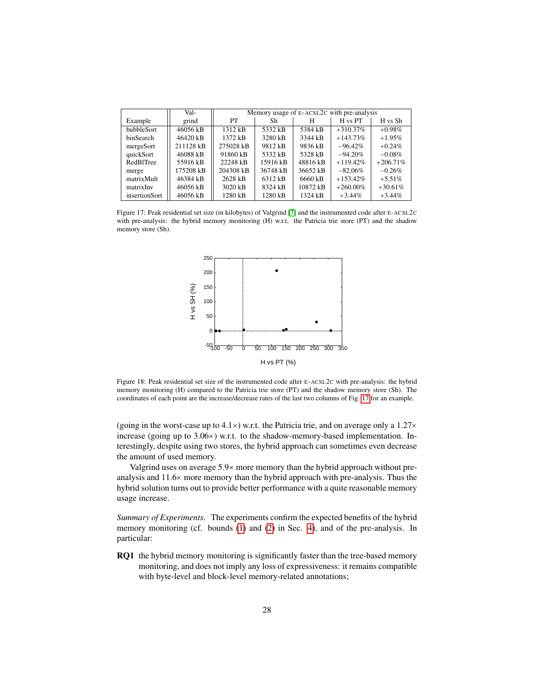|                  | Val-      | Memory usage of E-ACSL2C with pre-analysis |          |          |             |             |  |
|------------------|-----------|--------------------------------------------|----------|----------|-------------|-------------|--|
| Example          | grind     | PT                                         | Sh       | Н        | H vs PT     | H vs Sh     |  |
| bubbleSort       | 46056 kB  | $1312$ kB                                  | 5332 kB  | 5384 kB  | $+310.37\%$ | $+0.98\%$   |  |
| <b>binSearch</b> | 46420 kB  | 1372 kB                                    | 3280 kB  | 3344 kB  | $+143.73\%$ | $+1.95%$    |  |
| mergeSort        | 211128 kB | 275028 kB                                  | 9812 kB  | 9836 kB  | $-96.42\%$  | $+0.24\%$   |  |
| quickSort        | 46088 kB  | 91860 kB                                   | 5332 kB  | 5328 kB  | $-94.20%$   | $-0.08\%$   |  |
| RedBITree        | 55916 kB  | 22248 kB                                   | 15916 kB | 48816 kB | $+119.42\%$ | $+206.71\%$ |  |
| merge            | 175208 kB | 204308 kB                                  | 36748 kB | 36652 kB | $-82.06\%$  | $-0.26%$    |  |
| matrixMult       | 46384 kB  | 2628 kB                                    | 6312 kB  | 6660 kB  | $+153.42\%$ | $+5.51\%$   |  |
| matrixInv        | 46056 kB  | 3020 kB                                    | 8324 kB  | 10872 kB | $+260.00\%$ | $+30.61\%$  |  |
| insertionSort    | 46056 kB  | 1280 kB                                    | 1280 kB  | 1324 kB  | $+3.44\%$   | $+3.44\%$   |  |

<span id="page-27-0"></span>Figure 17: Peak residential set size (in kilobytes) of Valgrind [\[7\]](#page-31-2) and the instrumented code after E-ACSL2C with pre-analysis: the hybrid memory monitoring (H) w.r.t. the Patricia trie store (PT) and the shadow memory store (Sh).



<span id="page-27-1"></span>Figure 18: Peak residential set size of the instrumented code after E-ACSL2C with pre-analysis: the hybrid memory monitoring (H) compared to the Patricia trie store (PT) and the shadow memory store (Sh). The coordinates of each point are the increase/decrease rates of the last two columns of Fig. [17](#page-27-0) for an example.

(going in the worst-case up to  $4.1\times$ ) w.r.t. the Patricia trie, and on average only a  $1.27\times$ increase (going up to  $3.06 \times$ ) w.r.t. to the shadow-memory-based implementation. Interestingly, despite using two stores, the hybrid approach can sometimes even decrease the amount of used memory.

Valgrind uses on average 5.9× more memory than the hybrid approach without preanalysis and 11.6× more memory than the hybrid approach with pre-analysis. Thus the hybrid solution turns out to provide better performance with a quite reasonable memory usage increase.

*Summary of Experiments.* The experiments confirm the expected benefits of the hybrid memory monitoring (cf. bounds [\(1\)](#page-10-0) and [\(2\)](#page-11-0) in Sec. [4\)](#page-7-0), and of the pre-analysis. In particular:

RQ1 the hybrid memory monitoring is significantly faster than the tree-based memory monitoring, and does not imply any loss of expressiveness: it remains compatible with byte-level and block-level memory-related annotations;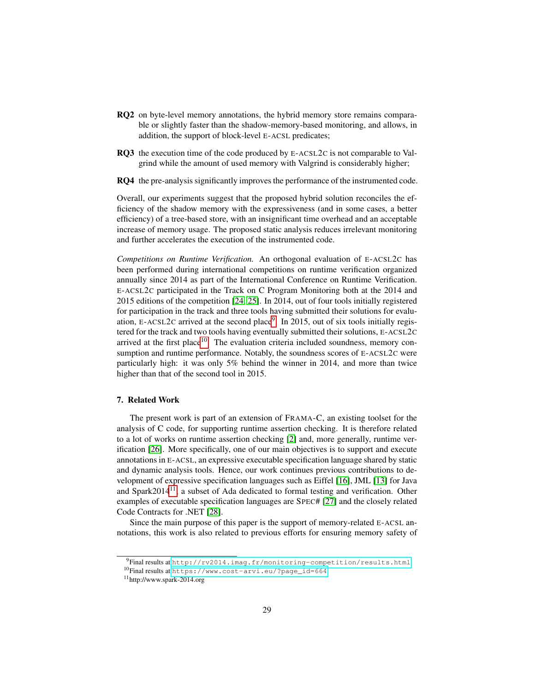- RQ2 on byte-level memory annotations, the hybrid memory store remains comparable or slightly faster than the shadow-memory-based monitoring, and allows, in addition, the support of block-level E-ACSL predicates;
- RQ3 the execution time of the code produced by E-ACSL2C is not comparable to Valgrind while the amount of used memory with Valgrind is considerably higher;

RQ4 the pre-analysis significantly improves the performance of the instrumented code.

Overall, our experiments suggest that the proposed hybrid solution reconciles the efficiency of the shadow memory with the expressiveness (and in some cases, a better efficiency) of a tree-based store, with an insignificant time overhead and an acceptable increase of memory usage. The proposed static analysis reduces irrelevant monitoring and further accelerates the execution of the instrumented code.

*Competitions on Runtime Verification.* An orthogonal evaluation of E-ACSL2C has been performed during international competitions on runtime verification organized annually since 2014 as part of the International Conference on Runtime Verification. E-ACSL2C participated in the Track on C Program Monitoring both at the 2014 and 2015 editions of the competition [\[24,](#page-32-4) [25\]](#page-32-5). In 2014, out of four tools initially registered for participation in the track and three tools having submitted their solutions for evalu-ation, E-ACSL2C arrived at the second place<sup>[9](#page-28-1)</sup>. In 2015, out of six tools initially registered for the track and two tools having eventually submitted their solutions, E-ACSL2C arrived at the first place $10$ . The evaluation criteria included soundness, memory consumption and runtime performance. Notably, the soundness scores of E-ACSL2C were particularly high: it was only 5% behind the winner in 2014, and more than twice higher than that of the second tool in 2015.

# <span id="page-28-0"></span>7. Related Work

The present work is part of an extension of FRAMA-C, an existing toolset for the analysis of C code, for supporting runtime assertion checking. It is therefore related to a lot of works on runtime assertion checking [\[2\]](#page-30-1) and, more generally, runtime verification [\[26\]](#page-32-6). More specifically, one of our main objectives is to support and execute annotations in E-ACSL, an expressive executable specification language shared by static and dynamic analysis tools. Hence, our work continues previous contributions to development of expressive specification languages such as Eiffel [\[16\]](#page-31-11), JML [\[13\]](#page-31-8) for Java and Spark2014 $^{11}$  $^{11}$  $^{11}$ , a subset of Ada dedicated to formal testing and verification. Other examples of executable specification languages are SPEC# [\[27\]](#page-32-7) and the closely related Code Contracts for .NET [\[28\]](#page-32-8).

Since the main purpose of this paper is the support of memory-related E-ACSL annotations, this work is also related to previous efforts for ensuring memory safety of

<span id="page-28-1"></span><sup>9</sup>Final results at <http://rv2014.imag.fr/monitoring-competition/results.html>

<span id="page-28-2"></span><sup>10</sup>Final results at [https://www.cost-arvi.eu/?page\\_id=664](https://www.cost-arvi.eu/?page_id=664)

<span id="page-28-3"></span><sup>11</sup>http://www.spark-2014.org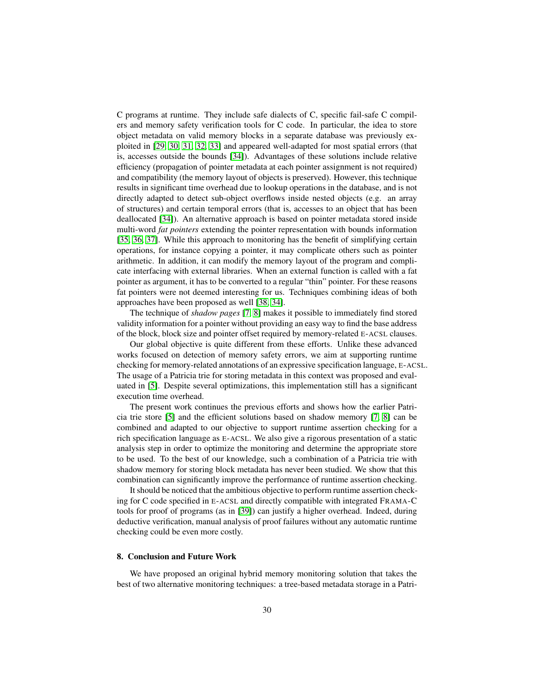C programs at runtime. They include safe dialects of C, specific fail-safe C compilers and memory safety verification tools for C code. In particular, the idea to store object metadata on valid memory blocks in a separate database was previously exploited in [\[29,](#page-32-9) [30,](#page-32-10) [31,](#page-32-11) [32,](#page-32-12) [33\]](#page-32-13) and appeared well-adapted for most spatial errors (that is, accesses outside the bounds [\[34\]](#page-33-0)). Advantages of these solutions include relative efficiency (propagation of pointer metadata at each pointer assignment is not required) and compatibility (the memory layout of objects is preserved). However, this technique results in significant time overhead due to lookup operations in the database, and is not directly adapted to detect sub-object overflows inside nested objects (e.g. an array of structures) and certain temporal errors (that is, accesses to an object that has been deallocated [\[34\]](#page-33-0)). An alternative approach is based on pointer metadata stored inside multi-word *fat pointers* extending the pointer representation with bounds information [\[35,](#page-33-1) [36,](#page-33-2) [37\]](#page-33-3). While this approach to monitoring has the benefit of simplifying certain operations, for instance copying a pointer, it may complicate others such as pointer arithmetic. In addition, it can modify the memory layout of the program and complicate interfacing with external libraries. When an external function is called with a fat pointer as argument, it has to be converted to a regular "thin" pointer. For these reasons fat pointers were not deemed interesting for us. Techniques combining ideas of both approaches have been proposed as well [\[38,](#page-33-4) [34\]](#page-33-0).

The technique of *shadow pages* [\[7,](#page-31-2) [8\]](#page-31-3) makes it possible to immediately find stored validity information for a pointer without providing an easy way to find the base address of the block, block size and pointer offset required by memory-related E-ACSL clauses.

Our global objective is quite different from these efforts. Unlike these advanced works focused on detection of memory safety errors, we aim at supporting runtime checking for memory-related annotations of an expressive specification language, E-ACSL. The usage of a Patricia trie for storing metadata in this context was proposed and evaluated in [\[5\]](#page-31-0). Despite several optimizations, this implementation still has a significant execution time overhead.

The present work continues the previous efforts and shows how the earlier Patricia trie store [\[5\]](#page-31-0) and the efficient solutions based on shadow memory [\[7,](#page-31-2) [8\]](#page-31-3) can be combined and adapted to our objective to support runtime assertion checking for a rich specification language as E-ACSL. We also give a rigorous presentation of a static analysis step in order to optimize the monitoring and determine the appropriate store to be used. To the best of our knowledge, such a combination of a Patricia trie with shadow memory for storing block metadata has never been studied. We show that this combination can significantly improve the performance of runtime assertion checking.

It should be noticed that the ambitious objective to perform runtime assertion checking for C code specified in E-ACSL and directly compatible with integrated FRAMA-C tools for proof of programs (as in [\[39\]](#page-33-5)) can justify a higher overhead. Indeed, during deductive verification, manual analysis of proof failures without any automatic runtime checking could be even more costly.

# <span id="page-29-0"></span>8. Conclusion and Future Work

We have proposed an original hybrid memory monitoring solution that takes the best of two alternative monitoring techniques: a tree-based metadata storage in a Patri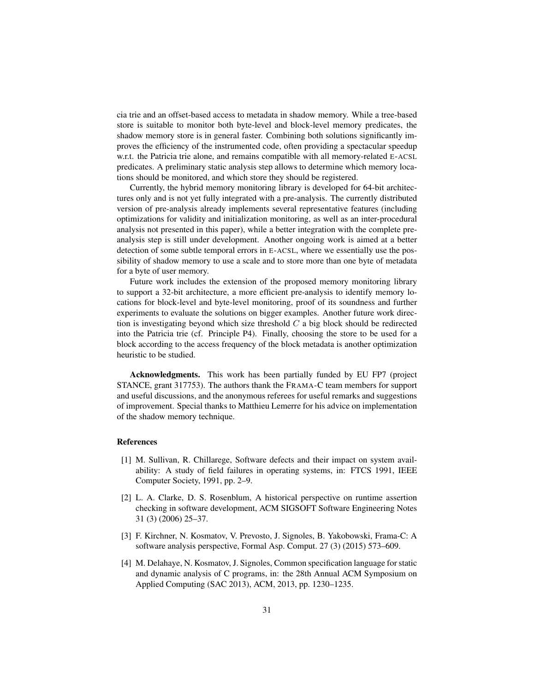cia trie and an offset-based access to metadata in shadow memory. While a tree-based store is suitable to monitor both byte-level and block-level memory predicates, the shadow memory store is in general faster. Combining both solutions significantly improves the efficiency of the instrumented code, often providing a spectacular speedup w.r.t. the Patricia trie alone, and remains compatible with all memory-related E-ACSL predicates. A preliminary static analysis step allows to determine which memory locations should be monitored, and which store they should be registered.

Currently, the hybrid memory monitoring library is developed for 64-bit architectures only and is not yet fully integrated with a pre-analysis. The currently distributed version of pre-analysis already implements several representative features (including optimizations for validity and initialization monitoring, as well as an inter-procedural analysis not presented in this paper), while a better integration with the complete preanalysis step is still under development. Another ongoing work is aimed at a better detection of some subtle temporal errors in E-ACSL, where we essentially use the possibility of shadow memory to use a scale and to store more than one byte of metadata for a byte of user memory.

Future work includes the extension of the proposed memory monitoring library to support a 32-bit architecture, a more efficient pre-analysis to identify memory locations for block-level and byte-level monitoring, proof of its soundness and further experiments to evaluate the solutions on bigger examples. Another future work direction is investigating beyond which size threshold  $C$  a big block should be redirected into the Patricia trie (cf. Principle P4). Finally, choosing the store to be used for a block according to the access frequency of the block metadata is another optimization heuristic to be studied.

Acknowledgments. This work has been partially funded by EU FP7 (project STANCE, grant 317753). The authors thank the FRAMA-C team members for support and useful discussions, and the anonymous referees for useful remarks and suggestions of improvement. Special thanks to Matthieu Lemerre for his advice on implementation of the shadow memory technique.

## References

- <span id="page-30-0"></span>[1] M. Sullivan, R. Chillarege, Software defects and their impact on system availability: A study of field failures in operating systems, in: FTCS 1991, IEEE Computer Society, 1991, pp. 2–9.
- <span id="page-30-1"></span>[2] L. A. Clarke, D. S. Rosenblum, A historical perspective on runtime assertion checking in software development, ACM SIGSOFT Software Engineering Notes 31 (3) (2006) 25–37.
- <span id="page-30-2"></span>[3] F. Kirchner, N. Kosmatov, V. Prevosto, J. Signoles, B. Yakobowski, Frama-C: A software analysis perspective, Formal Asp. Comput. 27 (3) (2015) 573–609.
- <span id="page-30-3"></span>[4] M. Delahaye, N. Kosmatov, J. Signoles, Common specification language for static and dynamic analysis of C programs, in: the 28th Annual ACM Symposium on Applied Computing (SAC 2013), ACM, 2013, pp. 1230–1235.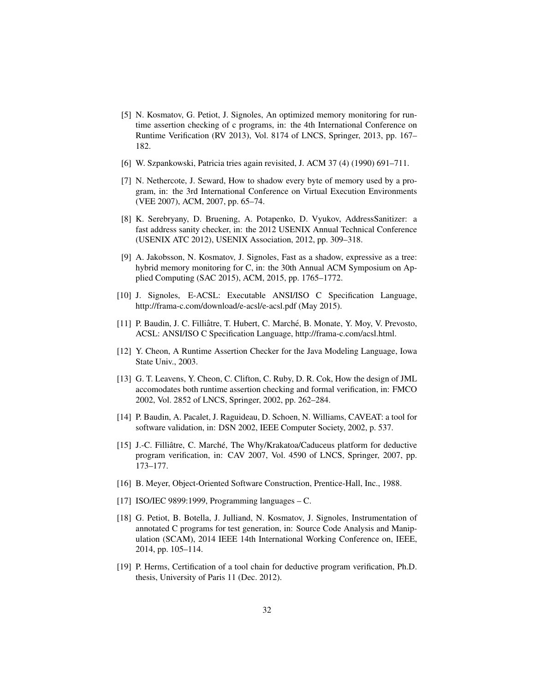- <span id="page-31-0"></span>[5] N. Kosmatov, G. Petiot, J. Signoles, An optimized memory monitoring for runtime assertion checking of c programs, in: the 4th International Conference on Runtime Verification (RV 2013), Vol. 8174 of LNCS, Springer, 2013, pp. 167– 182.
- <span id="page-31-1"></span>[6] W. Szpankowski, Patricia tries again revisited, J. ACM 37 (4) (1990) 691–711.
- <span id="page-31-2"></span>[7] N. Nethercote, J. Seward, How to shadow every byte of memory used by a program, in: the 3rd International Conference on Virtual Execution Environments (VEE 2007), ACM, 2007, pp. 65–74.
- <span id="page-31-3"></span>[8] K. Serebryany, D. Bruening, A. Potapenko, D. Vyukov, AddressSanitizer: a fast address sanity checker, in: the 2012 USENIX Annual Technical Conference (USENIX ATC 2012), USENIX Association, 2012, pp. 309–318.
- <span id="page-31-4"></span>[9] A. Jakobsson, N. Kosmatov, J. Signoles, Fast as a shadow, expressive as a tree: hybrid memory monitoring for C, in: the 30th Annual ACM Symposium on Applied Computing (SAC 2015), ACM, 2015, pp. 1765–1772.
- <span id="page-31-5"></span>[10] J. Signoles, E-ACSL: Executable ANSI/ISO C Specification Language, http://frama-c.com/download/e-acsl/e-acsl.pdf (May 2015).
- <span id="page-31-6"></span>[11] P. Baudin, J. C. Filliâtre, T. Hubert, C. Marché, B. Monate, Y. Moy, V. Prevosto, ACSL: ANSI/ISO C Specification Language, http://frama-c.com/acsl.html.
- <span id="page-31-7"></span>[12] Y. Cheon, A Runtime Assertion Checker for the Java Modeling Language, Iowa State Univ., 2003.
- <span id="page-31-8"></span>[13] G. T. Leavens, Y. Cheon, C. Clifton, C. Ruby, D. R. Cok, How the design of JML accomodates both runtime assertion checking and formal verification, in: FMCO 2002, Vol. 2852 of LNCS, Springer, 2002, pp. 262–284.
- <span id="page-31-9"></span>[14] P. Baudin, A. Pacalet, J. Raguideau, D. Schoen, N. Williams, CAVEAT: a tool for software validation, in: DSN 2002, IEEE Computer Society, 2002, p. 537.
- <span id="page-31-10"></span>[15] J.-C. Filliâtre, C. Marché, The Why/Krakatoa/Caduceus platform for deductive program verification, in: CAV 2007, Vol. 4590 of LNCS, Springer, 2007, pp. 173–177.
- <span id="page-31-11"></span>[16] B. Meyer, Object-Oriented Software Construction, Prentice-Hall, Inc., 1988.
- <span id="page-31-12"></span>[17] ISO/IEC 9899:1999, Programming languages – C.
- <span id="page-31-13"></span>[18] G. Petiot, B. Botella, J. Julliand, N. Kosmatov, J. Signoles, Instrumentation of annotated C programs for test generation, in: Source Code Analysis and Manipulation (SCAM), 2014 IEEE 14th International Working Conference on, IEEE, 2014, pp. 105–114.
- <span id="page-31-14"></span>[19] P. Herms, Certification of a tool chain for deductive program verification, Ph.D. thesis, University of Paris 11 (Dec. 2012).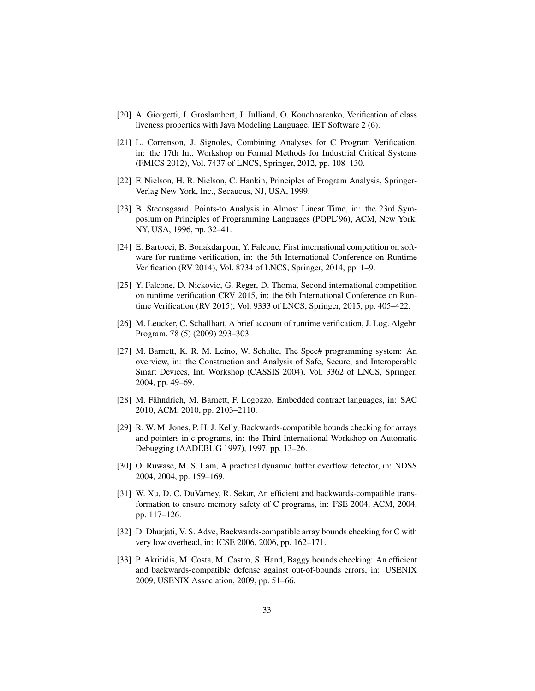- <span id="page-32-0"></span>[20] A. Giorgetti, J. Groslambert, J. Julliand, O. Kouchnarenko, Verification of class liveness properties with Java Modeling Language, IET Software 2 (6).
- <span id="page-32-1"></span>[21] L. Correnson, J. Signoles, Combining Analyses for C Program Verification, in: the 17th Int. Workshop on Formal Methods for Industrial Critical Systems (FMICS 2012), Vol. 7437 of LNCS, Springer, 2012, pp. 108–130.
- <span id="page-32-2"></span>[22] F. Nielson, H. R. Nielson, C. Hankin, Principles of Program Analysis, Springer-Verlag New York, Inc., Secaucus, NJ, USA, 1999.
- <span id="page-32-3"></span>[23] B. Steensgaard, Points-to Analysis in Almost Linear Time, in: the 23rd Symposium on Principles of Programming Languages (POPL'96), ACM, New York, NY, USA, 1996, pp. 32–41.
- <span id="page-32-4"></span>[24] E. Bartocci, B. Bonakdarpour, Y. Falcone, First international competition on software for runtime verification, in: the 5th International Conference on Runtime Verification (RV 2014), Vol. 8734 of LNCS, Springer, 2014, pp. 1–9.
- <span id="page-32-5"></span>[25] Y. Falcone, D. Nickovic, G. Reger, D. Thoma, Second international competition on runtime verification CRV 2015, in: the 6th International Conference on Runtime Verification (RV 2015), Vol. 9333 of LNCS, Springer, 2015, pp. 405–422.
- <span id="page-32-6"></span>[26] M. Leucker, C. Schallhart, A brief account of runtime verification, J. Log. Algebr. Program. 78 (5) (2009) 293–303.
- <span id="page-32-7"></span>[27] M. Barnett, K. R. M. Leino, W. Schulte, The Spec# programming system: An overview, in: the Construction and Analysis of Safe, Secure, and Interoperable Smart Devices, Int. Workshop (CASSIS 2004), Vol. 3362 of LNCS, Springer, 2004, pp. 49–69.
- <span id="page-32-8"></span>[28] M. Fähndrich, M. Barnett, F. Logozzo, Embedded contract languages, in: SAC 2010, ACM, 2010, pp. 2103–2110.
- <span id="page-32-9"></span>[29] R. W. M. Jones, P. H. J. Kelly, Backwards-compatible bounds checking for arrays and pointers in c programs, in: the Third International Workshop on Automatic Debugging (AADEBUG 1997), 1997, pp. 13–26.
- <span id="page-32-10"></span>[30] O. Ruwase, M. S. Lam, A practical dynamic buffer overflow detector, in: NDSS 2004, 2004, pp. 159–169.
- <span id="page-32-11"></span>[31] W. Xu, D. C. DuVarney, R. Sekar, An efficient and backwards-compatible transformation to ensure memory safety of C programs, in: FSE 2004, ACM, 2004, pp. 117–126.
- <span id="page-32-12"></span>[32] D. Dhurjati, V. S. Adve, Backwards-compatible array bounds checking for C with very low overhead, in: ICSE 2006, 2006, pp. 162–171.
- <span id="page-32-13"></span>[33] P. Akritidis, M. Costa, M. Castro, S. Hand, Baggy bounds checking: An efficient and backwards-compatible defense against out-of-bounds errors, in: USENIX 2009, USENIX Association, 2009, pp. 51–66.